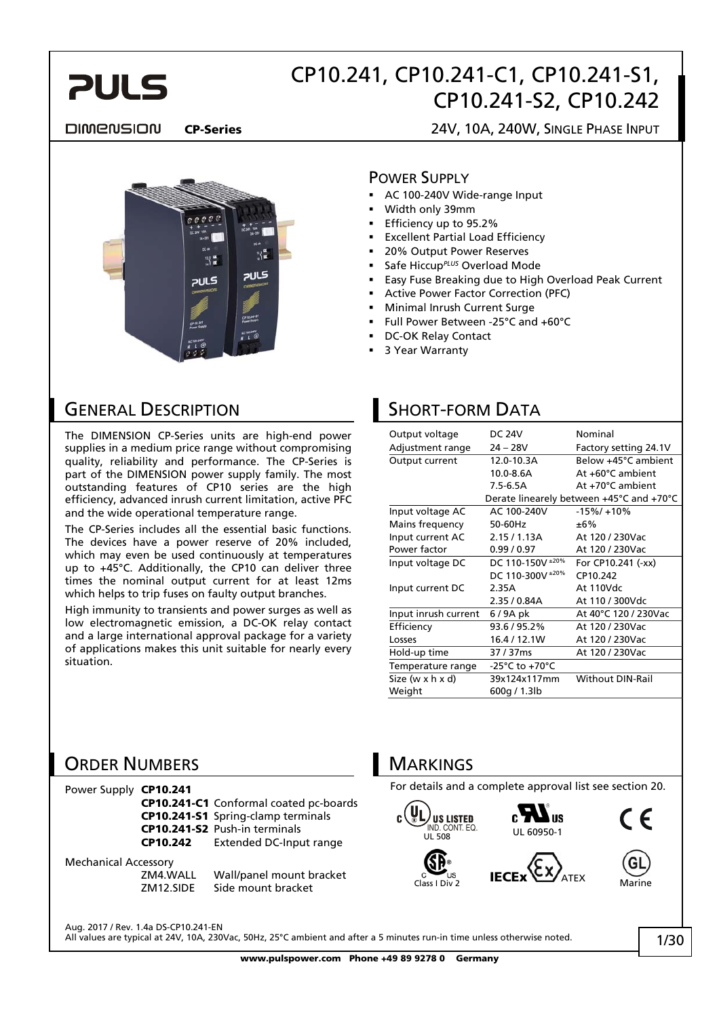

#### **DIMENSION**

CP-Series 24V, 10A, 240W, SINGLE PHASE INPUT



#### POWER SUPPLY

- AC 100-240V Wide-range Input
- Width only 39mm
- Efficiency up to 95.2%
- Excellent Partial Load Efficiency
- 20% Output Power Reserves
- Safe Hiccup*PLUS* Overload Mode
- Easy Fuse Breaking due to High Overload Peak Current
- Active Power Factor Correction (PFC)
- Minimal Inrush Current Surge
- Full Power Between -25°C and +60°C
- DC-OK Relay Contact
- 3 Year Warranty

### GENERAL DESCRIPTION

The DIMENSION CP-Series units are high-end power supplies in a medium price range without compromising quality, reliability and performance. The CP-Series is part of the DIMENSION power supply family. The most outstanding features of CP10 series are the high efficiency, advanced inrush current limitation, active PFC and the wide operational temperature range.

The CP-Series includes all the essential basic functions. The devices have a power reserve of 20% included, which may even be used continuously at temperatures up to +45°C. Additionally, the CP10 can deliver three times the nominal output current for at least 12ms which helps to trip fuses on faulty output branches.

High immunity to transients and power surges as well as low electromagnetic emission, a DC-OK relay contact and a large international approval package for a variety of applications makes this unit suitable for nearly every situation.

### SHORT-FORM DATA

| Output voltage       | <b>DC 24V</b>    | Nominal                                  |
|----------------------|------------------|------------------------------------------|
| Adjustment range     | $24 - 28V$       | Factory setting 24.1V                    |
| Output current       | 12.0-10.3A       | Below +45°C ambient                      |
|                      | $10.0 - 8.6A$    | At +60°C ambient                         |
|                      | $7.5 - 6.5A$     | At +70°C ambient                         |
|                      |                  | Derate linearely between +45°C and +70°C |
| Input voltage AC     | AC 100-240V      | $-15\%/+10\%$                            |
| Mains frequency      | 50-60Hz          | ±6%                                      |
| Input current AC     | 2.15/1.13A       | At 120 / 230Vac                          |
| Power factor         | 0.99/0.97        | At 120 / 230 Vac                         |
| Input voltage DC     | DC 110-150V ±20% | For CP10.241 (-xx)                       |
|                      | DC 110-300V ±20% | CP10.242                                 |
| Input current DC     | 2.35A            | At 110Vdc                                |
|                      | 2.35 / 0.84A     | At 110 / 300Vdc                          |
| Input inrush current | 6/9A pk          | At 40°C 120 / 230Vac                     |
| Efficiency           | 93.6 / 95.2%     | At 120 / 230 Vac                         |
| Losses               | 16.4 / 12.1W     | At 120 / 230Vac                          |
| Hold-up time         | 37 / 37 ms       | At 120 / 230Vac                          |
| Temperature range    | -25°C to +70°C   |                                          |
| Size (w x h x d)     | 39x124x117mm     | <b>Without DIN-Rail</b>                  |
| Weight               | 600g / 1.3lb     |                                          |
|                      |                  |                                          |

### ORDER NUMBERS

Power Supply CP10.241 CP10.241-C1 Conformal coated pc-boards CP10.241-S1 Spring-clamp terminals CP10.241-S2 Push-in terminals<br>CP10.242 Extended DC-Inpu Extended DC-Input range

Mechanical Accessory

ZM4.WALL Wall/panel mount bracket ZM12.SIDE Side mount bracket

### **MARKINGS**

For details and a complete approval list see section [20.](#page-18-0)







 $\epsilon$ 

Aug. 2017 / Rev. 1.4a DS-CP10.241-EN All values are typical at 24V, 10A, 230Vac, 50Hz, 25°C ambient and after a 5 minutes run-in time unless otherwise noted.

www.pulspower.com Phone +49 89 9278 0 Germany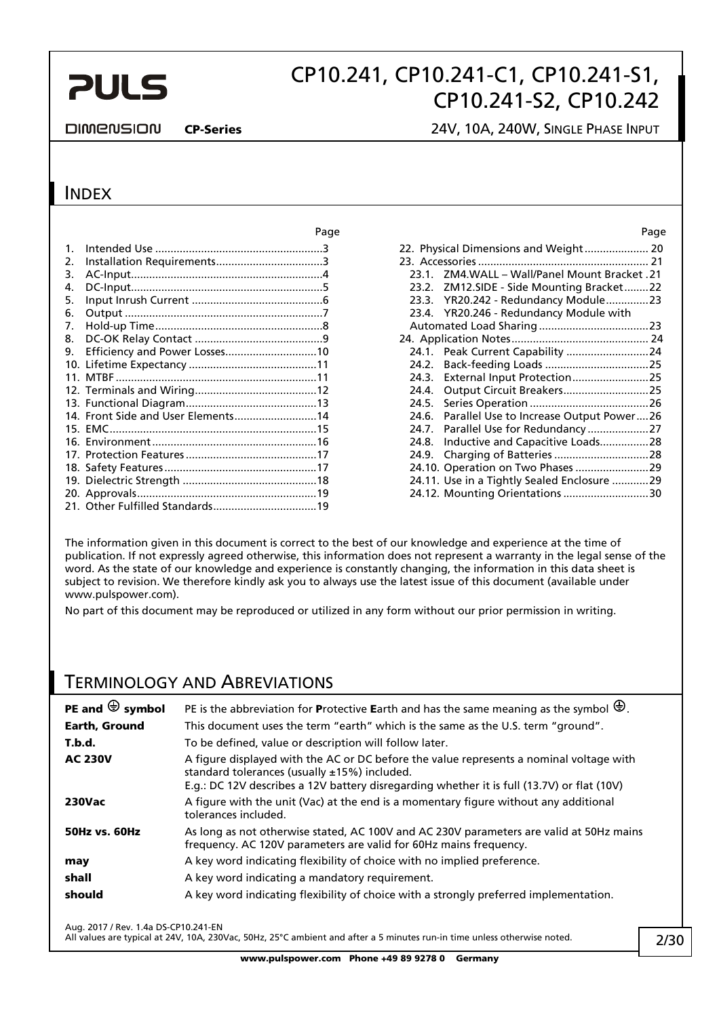## CP10.241, CP10.241-C1, CP10.241-S1, CP10.241-S2, CP10.242

#### DIMENSION

CP-Series 24V, 10A, 240W, SINGLE PHASE INPUT

### **INDEX**

|         |                                    | Page | Page                                             |
|---------|------------------------------------|------|--------------------------------------------------|
| $1_{-}$ |                                    |      | 22. Physical Dimensions and Weight 20            |
| 2.      |                                    |      |                                                  |
| 3.      |                                    |      | 23.1. ZM4.WALL - Wall/Panel Mount Bracket.21     |
| 4.      |                                    |      | 23.2. ZM12.SIDE - Side Mounting Bracket22        |
| 5.      |                                    |      | 23.3. YR20.242 - Redundancy Module23             |
| 6.      |                                    |      | 23.4. YR20.246 - Redundancy Module with          |
| 7.      |                                    |      |                                                  |
| 8.      |                                    |      |                                                  |
| 9.      | Efficiency and Power Losses10      |      | 24.1. Peak Current Capability 24                 |
|         |                                    |      | 24.2.                                            |
|         |                                    |      | External Input Protection25<br>24.3.             |
|         |                                    |      | Output Circuit Breakers25<br>24.4.               |
|         |                                    |      | 24.5.                                            |
|         | 14. Front Side and User Elements14 |      | Parallel Use to Increase Output Power26<br>24.6. |
|         |                                    |      | Parallel Use for Redundancy 27<br>24.7.          |
|         |                                    |      | Inductive and Capacitive Loads28<br>24.8.        |
|         |                                    |      | 24.9.                                            |
|         |                                    |      |                                                  |
|         |                                    |      | 24.11. Use in a Tightly Sealed Enclosure 29      |
|         |                                    |      | 24.12. Mounting Orientations 30                  |
|         |                                    |      |                                                  |

|       | 22. Physical Dimensions and Weight 20       |  |
|-------|---------------------------------------------|--|
|       |                                             |  |
| 23.1. | ZM4.WALL - Wall/Panel Mount Bracket .21     |  |
|       | 23.2. ZM12.SIDE - Side Mounting Bracket22   |  |
|       | 23.3. YR20.242 - Redundancy Module23        |  |
|       | 23.4. YR20.246 - Redundancy Module with     |  |
|       |                                             |  |
|       |                                             |  |
|       | 24.1. Peak Current Capability 24            |  |
|       |                                             |  |
|       |                                             |  |
| 24.4. | Output Circuit Breakers25                   |  |
| 24.5. |                                             |  |
| 24.6. | Parallel Use to Increase Output Power26     |  |
| 24.7. |                                             |  |
| 24.8. | Inductive and Capacitive Loads28            |  |
| 24.9. |                                             |  |
|       | 24.10. Operation on Two Phases 29           |  |
|       | 24.11. Use in a Tightly Sealed Enclosure 29 |  |
|       | 24.12. Mounting Orientations 30             |  |
|       |                                             |  |

The information given in this document is correct to the best of our knowledge and experience at the time of publication. If not expressly agreed otherwise, this information does not represent a warranty in the legal sense of the word. As the state of our knowledge and experience is constantly changing, the information in this data sheet is subject to revision. We therefore kindly ask you to always use the latest issue of this document (available under www.pulspower.com).

No part of this document may be reproduced or utilized in any form without our prior permission in writing.

### TERMINOLOGY AND ABREVIATIONS

| PE and $\bigcirc$ symbol | PE is the abbreviation for Protective Earth and has the same meaning as the symbol $\bigcirc$ .                                                                                                                                          |
|--------------------------|------------------------------------------------------------------------------------------------------------------------------------------------------------------------------------------------------------------------------------------|
| <b>Earth, Ground</b>     | This document uses the term "earth" which is the same as the U.S. term "ground".                                                                                                                                                         |
| T.b.d.                   | To be defined, value or description will follow later.                                                                                                                                                                                   |
| <b>AC 230V</b>           | A figure displayed with the AC or DC before the value represents a nominal voltage with<br>standard tolerances (usually $±15%$ ) included.<br>E.g.: DC 12V describes a 12V battery disregarding whether it is full (13.7V) or flat (10V) |
| <b>230Vac</b>            | A figure with the unit (Vac) at the end is a momentary figure without any additional<br>tolerances included.                                                                                                                             |
| <b>50Hz vs. 60Hz</b>     | As long as not otherwise stated, AC 100V and AC 230V parameters are valid at 50Hz mains<br>frequency. AC 120V parameters are valid for 60Hz mains frequency.                                                                             |
| may                      | A key word indicating flexibility of choice with no implied preference.                                                                                                                                                                  |
| shall                    | A key word indicating a mandatory requirement.                                                                                                                                                                                           |
| should                   | A key word indicating flexibility of choice with a strongly preferred implementation.                                                                                                                                                    |

Aug. 2017 / Rev. 1.4a DS-CP10.241-EN

All values are typical at 24V, 10A, 230Vac, 50Hz, 25°C ambient and after a 5 minutes run-in time unless otherwise noted.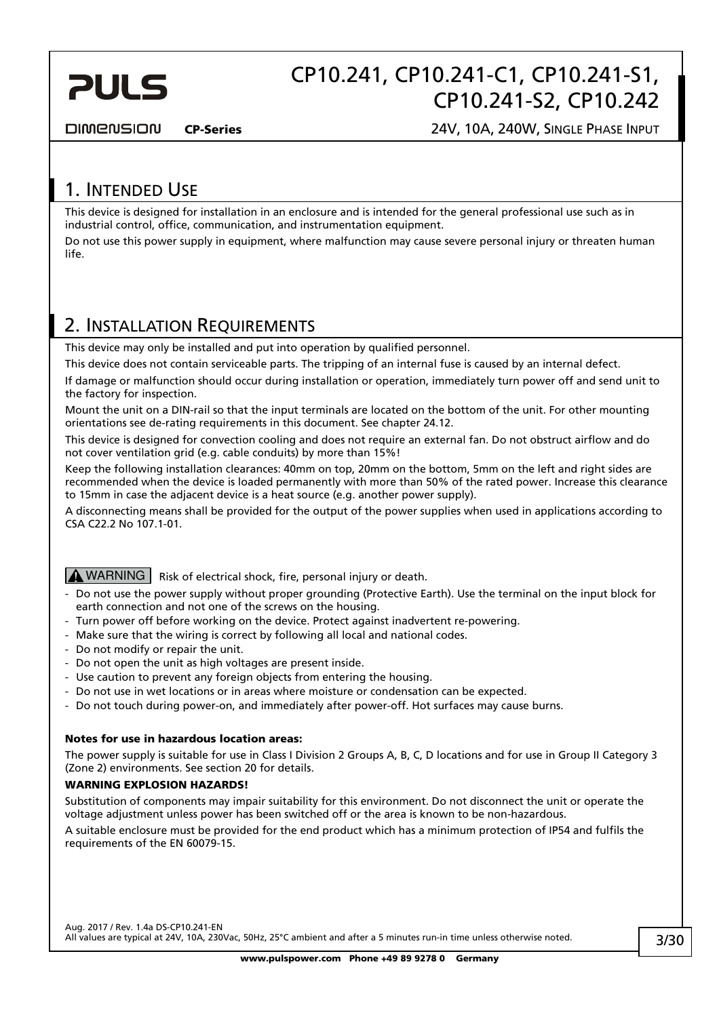<span id="page-2-0"></span>

**DIMENSION** 

CP-Series 24V, 10A, 240W, SINGLE PHASE INPUT

### 1. INTENDED USE

This device is designed for installation in an enclosure and is intended for the general professional use such as in industrial control, office, communication, and instrumentation equipment.

Do not use this power supply in equipment, where malfunction may cause severe personal injury or threaten human life.

### <span id="page-2-1"></span>2. INSTALLATION REQUIREMENTS

This device may only be installed and put into operation by qualified personnel.

This device does not contain serviceable parts. The tripping of an internal fuse is caused by an internal defect.

If damage or malfunction should occur during installation or operation, immediately turn power off and send unit to the factory for inspection.

Mount the unit on a DIN-rail so that the input terminals are located on the bottom of the unit. For other mounting orientations see de-rating requirements in this document. See chapter [24.12.](#page-29-1)

This device is designed for convection cooling and does not require an external fan. Do not obstruct airflow and do not cover ventilation grid (e.g. cable conduits) by more than 15%!

Keep the following installation clearances: 40mm on top, 20mm on the bottom, 5mm on the left and right sides are recommended when the device is loaded permanently with more than 50% of the rated power. Increase this clearance to 15mm in case the adjacent device is a heat source (e.g. another power supply).

A disconnecting means shall be provided for the output of the power supplies when used in applications according to CSA C22.2 No 107.1-01.

### WARNING Risk of electrical shock, fire, personal injury or death.

- Do not use the power supply without proper grounding (Protective Earth). Use the terminal on the input block for earth connection and not one of the screws on the housing.
- Turn power off before working on the device. Protect against inadvertent re-powering.
- Make sure that the wiring is correct by following all local and national codes.
- Do not modify or repair the unit.
- Do not open the unit as high voltages are present inside.
- Use caution to prevent any foreign objects from entering the housing.
- Do not use in wet locations or in areas where moisture or condensation can be expected.
- Do not touch during power-on, and immediately after power-off. Hot surfaces may cause burns.

#### Notes for use in hazardous location areas:

The power supply is suitable for use in Class I Division 2 Groups A, B, C, D locations and for use in Group II Category 3 (Zone 2) environments. See section [20](#page-18-0) for details.

#### WARNING EXPLOSION HAZARDS!

Substitution of components may impair suitability for this environment. Do not disconnect the unit or operate the voltage adjustment unless power has been switched off or the area is known to be non-hazardous.

A suitable enclosure must be provided for the end product which has a minimum protection of IP54 and fulfils the requirements of the EN 60079-15.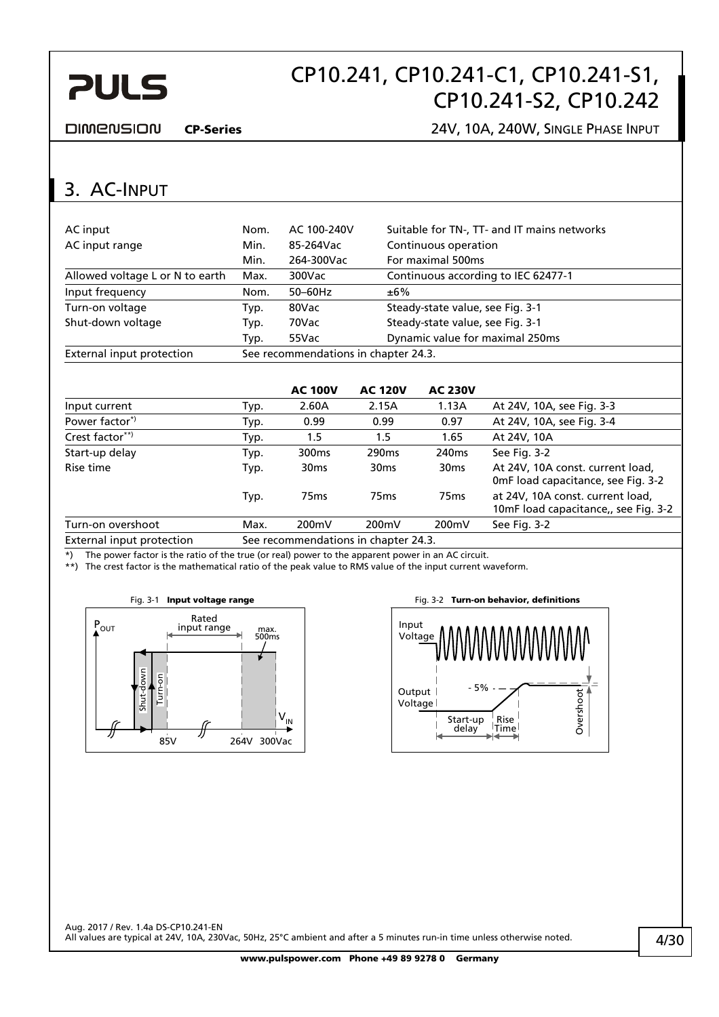# CP10.241, CP10.241-C1, CP10.241-S1, CP10.241-S2, CP10.242

<span id="page-3-0"></span>**DIMENSION** 

CP-Series 24V, 10A, 240W, SINGLE PHASE INPUT

## 3. AC-INPUT

| AC input                        | Nom. | AC 100-240V                          | Suitable for TN-, TT- and IT mains networks |  |  |
|---------------------------------|------|--------------------------------------|---------------------------------------------|--|--|
| AC input range                  | Min. | 85-264Vac                            | Continuous operation                        |  |  |
|                                 | Min. | 264-300Vac                           | For maximal 500ms                           |  |  |
| Allowed voltage L or N to earth | Max. | $300$ Vac                            | Continuous according to IEC 62477-1         |  |  |
| Input frequency                 | Nom. | $50-60$ Hz                           | ±6%                                         |  |  |
| Turn-on voltage                 | Typ. | 80Vac                                | Steady-state value, see Fig. 3-1            |  |  |
| Shut-down voltage               | Typ. | 70Vac                                | Steady-state value, see Fig. 3-1            |  |  |
|                                 | Typ. | 55Vac                                | Dynamic value for maximal 250ms             |  |  |
| External input protection       |      | See recommendations in chapter 24.3. |                                             |  |  |

|                           |                                      | <b>AC 100V</b>    | <b>AC 120V</b>    | <b>AC 230V</b>    |                                                                          |  |
|---------------------------|--------------------------------------|-------------------|-------------------|-------------------|--------------------------------------------------------------------------|--|
| Input current             | Typ.                                 | 2.60A             | 2.15A             | 1.13A             | At 24V, 10A, see Fig. 3-3                                                |  |
| Power factor <sup>*</sup> | Typ.                                 | 0.99              | 0.99              | 0.97              | At 24V, 10A, see Fig. 3-4                                                |  |
| Crest factor**)           | Typ.                                 | 1.5               | 1.5               | 1.65              | At 24V, 10A                                                              |  |
| Start-up delay            | Typ.                                 | 300 <sub>ms</sub> | 290 <sub>ms</sub> | 240 <sub>ms</sub> | See Fig. 3-2                                                             |  |
| Rise time                 | Typ.                                 | 30 <sub>ms</sub>  | 30 <sub>ms</sub>  | 30 <sub>ms</sub>  | At 24V, 10A const. current load,<br>OmF load capacitance, see Fig. 3-2   |  |
|                           | Typ.                                 | 75 <sub>ms</sub>  | 75 <sub>ms</sub>  | 75 <sub>ms</sub>  | at 24V, 10A const. current load,<br>10mF load capacitance,, see Fig. 3-2 |  |
| Turn-on overshoot         | Max.                                 | 200mV             | 200mV             | 200mV             | See Fig. 3-2                                                             |  |
| External input protection | See recommendations in chapter 24.3. |                   |                   |                   |                                                                          |  |

\*) The power factor is the ratio of the true (or real) power to the apparent power in an AC circuit.

<span id="page-3-1"></span>\*\*) The crest factor is the mathematical ratio of the peak value to RMS value of the input current waveform.



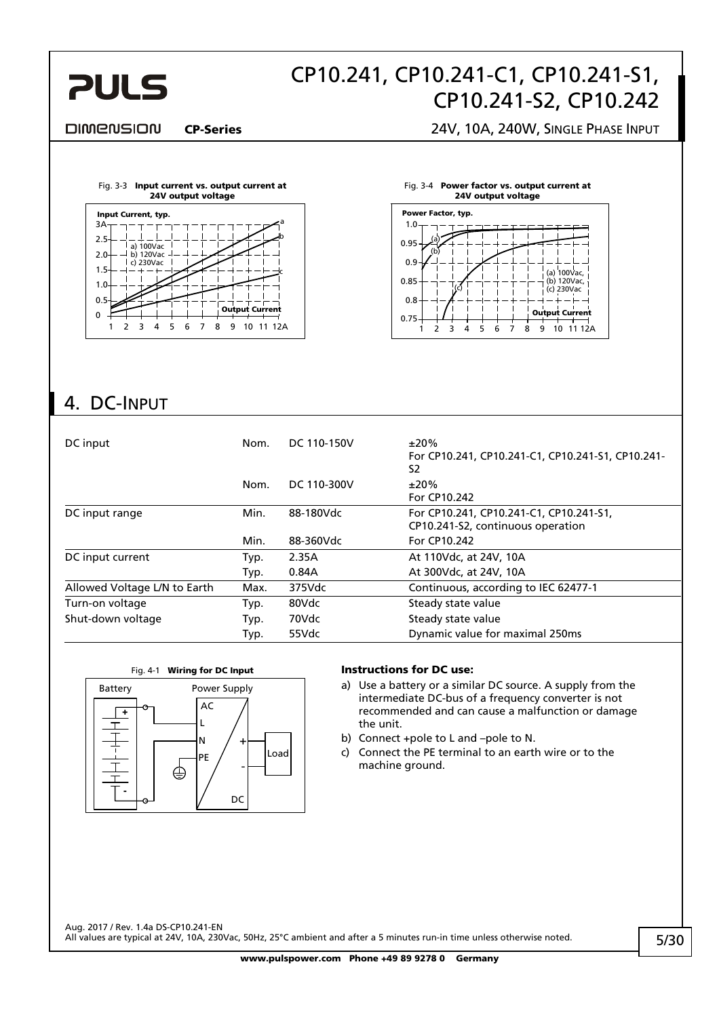<span id="page-4-0"></span>

#### DIMENSION

CP-Series 24V, 10A, 240W, SINGLE PHASE INPUT

<span id="page-4-1"></span>



Fig. 3-4 Power factor vs. output current at



## 4. DC-INPUT

| DC input                     | Nom. | DC 110-150V | ±20%<br>For CP10.241, CP10.241-C1, CP10.241-S1, CP10.241-<br>S2              |
|------------------------------|------|-------------|------------------------------------------------------------------------------|
|                              | Nom. | DC 110-300V | ±20%<br>For CP10.242                                                         |
| DC input range               | Min. | 88-180Vdc   | For CP10.241, CP10.241-C1, CP10.241-S1,<br>CP10.241-S2, continuous operation |
|                              | Min. | 88-360Vdc   | For CP10.242                                                                 |
| DC input current             | Typ. | 2.35A       | At 110Vdc, at 24V, 10A                                                       |
|                              | Typ. | 0.84A       | At 300Vdc, at 24V, 10A                                                       |
| Allowed Voltage L/N to Earth | Max. | $375$ Vdc   | Continuous, according to IEC 62477-1                                         |
| Turn-on voltage              | Typ. | 80Vdc       | Steady state value                                                           |
| Shut-down voltage            | Typ. | 70Vdc       | Steady state value                                                           |
|                              | Typ. | 55Vdc       | Dynamic value for maximal 250ms                                              |



- a) Use a battery or a similar DC source. A supply from the intermediate DC-bus of a frequency converter is not recommended and can cause a malfunction or damage the unit.
- b) Connect +pole to L and –pole to N.
- c) Connect the PE terminal to an earth wire or to the machine ground.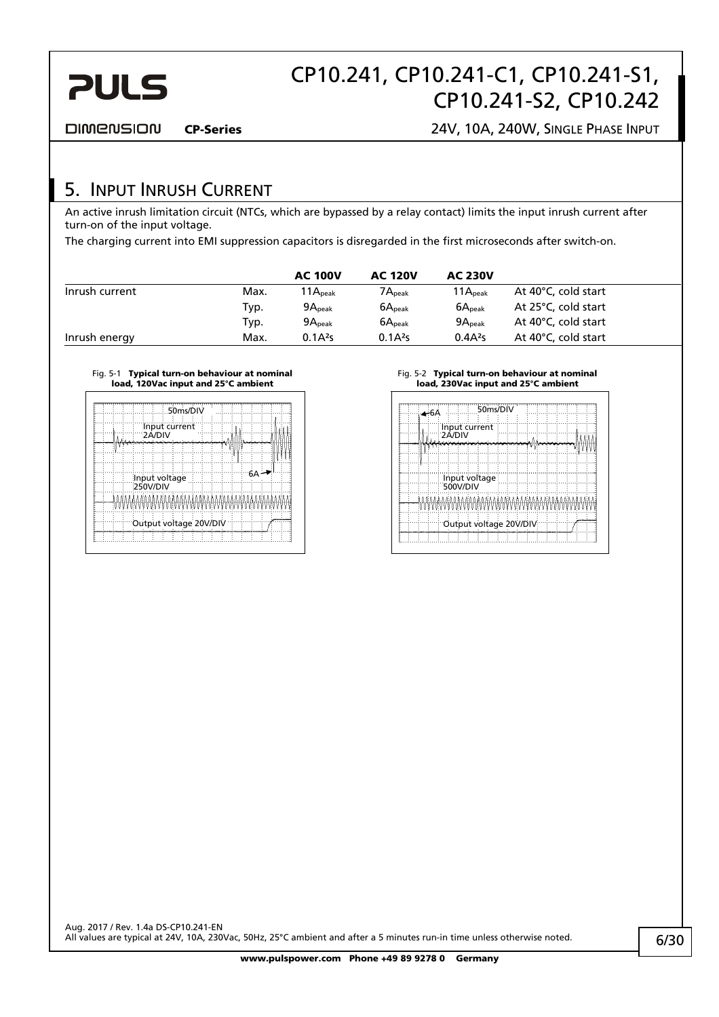<span id="page-5-0"></span>

DIMENSION

CP-Series 24V, 10A, 240W, SINGLE PHASE INPUT

### 5. INPUT INRUSH CURRENT

An active inrush limitation circuit (NTCs, which are bypassed by a relay contact) limits the input inrush current after turn-on of the input voltage.

The charging current into EMI suppression capacitors is disregarded in the first microseconds after switch-on.

|                |      | <b>AC 100V</b>     | <b>AC 120V</b>        | <b>AC 230V</b>      |                     |
|----------------|------|--------------------|-----------------------|---------------------|---------------------|
| Inrush current | Max. | $11A_{\rm peak}$   | $7{\sf A}_{\sf peak}$ | 11A <sub>peak</sub> | At 40°C, cold start |
|                | Typ. | $9A_{\text{peak}}$ | 6A <sub>peak</sub>    | 6A <sub>peak</sub>  | At 25°C, cold start |
|                | Typ. | 9A <sub>peak</sub> | 6A <sub>peak</sub>    | 9A <sub>peak</sub>  | At 40°C, cold start |
| Inrush energy  | Max. | $0.1A^{2}s$        | $0.1A^{2}s$           | 0.4A <sup>2</sup> S | At 40°C, cold start |

#### Fig. 5-1 Typical turn-on behaviour at nominal load, 120Vac input and 25°C ambient

|                                  | 50ms/DIV      |  |  |
|----------------------------------|---------------|--|--|
| 2A/DIV                           | Input current |  |  |
|                                  |               |  |  |
| Input voltage<br>250V/DIV        |               |  |  |
| NIMANIMANIMANIMANIMANIMANIMANIMA |               |  |  |
| Output voltage 20V/DIV           |               |  |  |
|                                  |               |  |  |

#### Fig. 5-2 Typical turn-on behaviour at nominal load, 230Vac input and 25°C ambient

| —6A |                           | 50ms/DIV |  |  |  |
|-----|---------------------------|----------|--|--|--|
|     | Input current<br>2Á/DIV   |          |  |  |  |
|     |                           |          |  |  |  |
|     |                           |          |  |  |  |
|     | Input voltage<br>500V/DIV |          |  |  |  |
|     | MMMMMMMMMMMMMMMMMMMMM     |          |  |  |  |
|     | Output voltage 20V/DIV    |          |  |  |  |
|     |                           |          |  |  |  |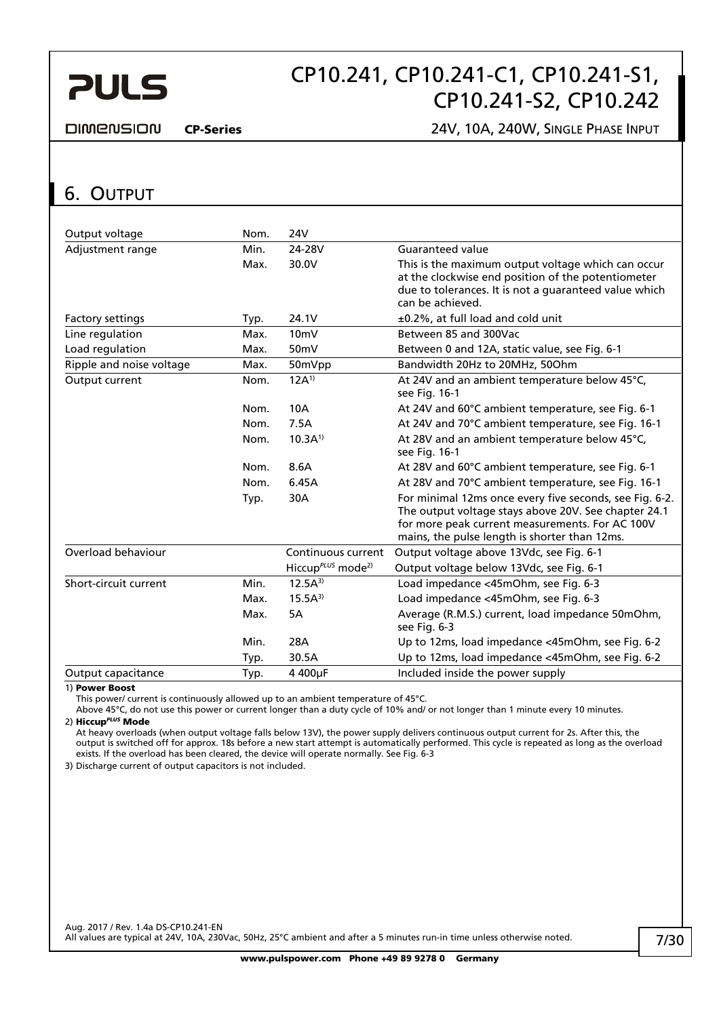# CP10.241, CP10.241-C1, CP10.241-S1, CP10.241-S2, CP10.242

#### <span id="page-6-0"></span>**DIMENSION**

#### CP-Series 24V, 10A, 240W, SINGLE PHASE INPUT

### <span id="page-6-1"></span>6. OUTPUT

| Output voltage           | Nom. | 24V                                       |                                                                                                                                                                                                                     |
|--------------------------|------|-------------------------------------------|---------------------------------------------------------------------------------------------------------------------------------------------------------------------------------------------------------------------|
| Adjustment range         | Min. | 24-28V                                    | Guaranteed value                                                                                                                                                                                                    |
|                          | Max. | 30.0V                                     | This is the maximum output voltage which can occur                                                                                                                                                                  |
|                          |      |                                           | at the clockwise end position of the potentiometer                                                                                                                                                                  |
|                          |      |                                           | due to tolerances. It is not a guaranteed value which                                                                                                                                                               |
|                          |      |                                           | can be achieved.                                                                                                                                                                                                    |
| Factory settings         | Typ. | 24.1V                                     | ±0.2%, at full load and cold unit                                                                                                                                                                                   |
| Line regulation          | Max. | 10 <sub>m</sub>                           | Between 85 and 300Vac                                                                                                                                                                                               |
| Load regulation          | Max. | 50 <sub>m</sub> V                         | Between 0 and 12A, static value, see Fig. 6-1                                                                                                                                                                       |
| Ripple and noise voltage | Max. | 50mVpp                                    | Bandwidth 20Hz to 20MHz, 50Ohm                                                                                                                                                                                      |
| Output current           | Nom. | $12A^{1}$                                 | At 24V and an ambient temperature below 45°C,<br>see Fig. 16-1                                                                                                                                                      |
|                          | Nom. | 10A                                       | At 24V and 60°C ambient temperature, see Fig. 6-1                                                                                                                                                                   |
|                          | Nom. | 7.5A                                      | At 24V and 70°C ambient temperature, see Fig. 16-1                                                                                                                                                                  |
|                          | Nom. | $10.3A^{1}$                               | At 28V and an ambient temperature below 45°C,<br>see Fig. 16-1                                                                                                                                                      |
|                          | Nom. | 8.6A                                      | At 28V and 60°C ambient temperature, see Fig. 6-1                                                                                                                                                                   |
|                          | Nom. | 6.45A                                     | At 28V and 70°C ambient temperature, see Fig. 16-1                                                                                                                                                                  |
|                          | Typ. | 30A                                       | For minimal 12ms once every five seconds, see Fig. 6-2.<br>The output voltage stays above 20V. See chapter 24.1<br>for more peak current measurements. For AC 100V<br>mains, the pulse length is shorter than 12ms. |
| Overload behaviour       |      | Continuous current                        | Output voltage above 13Vdc, see Fig. 6-1                                                                                                                                                                            |
|                          |      | Hiccup <sup>PLUS</sup> mode <sup>2)</sup> | Output voltage below 13Vdc, see Fig. 6-1                                                                                                                                                                            |
| Short-circuit current    | Min. | $12.5A^{3}$                               | Load impedance <45mOhm, see Fig. 6-3                                                                                                                                                                                |
|                          | Max. | $15.5A^{3}$                               | Load impedance <45mOhm, see Fig. 6-3                                                                                                                                                                                |
|                          | Max. | 5A                                        | Average (R.M.S.) current, load impedance 50mOhm,<br>see Fig. 6-3                                                                                                                                                    |
|                          | Min. | 28A                                       | Up to 12ms, load impedance <45mOhm, see Fig. 6-2                                                                                                                                                                    |
|                          | Typ. | 30.5A                                     | Up to 12ms, load impedance <45mOhm, see Fig. 6-2                                                                                                                                                                    |
| Output capacitance       | Typ. | 4 400µF                                   | Included inside the power supply                                                                                                                                                                                    |

1) Power Boost

This power/ current is continuously allowed up to an ambient temperature of 45°C.

Above 45°C, do not use this power or current longer than a duty cycle of 10% and/ or not longer than 1 minute every 10 minutes. 2) Hiccup*PLUS* Mode

At heavy overloads (when output voltage falls below 13V), the power supply delivers continuous output current for 2s. After this, the output is switched off for approx. 18s before a new start attempt is automatically performed. This cycle is repeated as long as the overload exists. If the overload has been cleared, the device will operate normally. See [Fig. 6-3](#page-7-2) 

3) Discharge current of output capacitors is not included.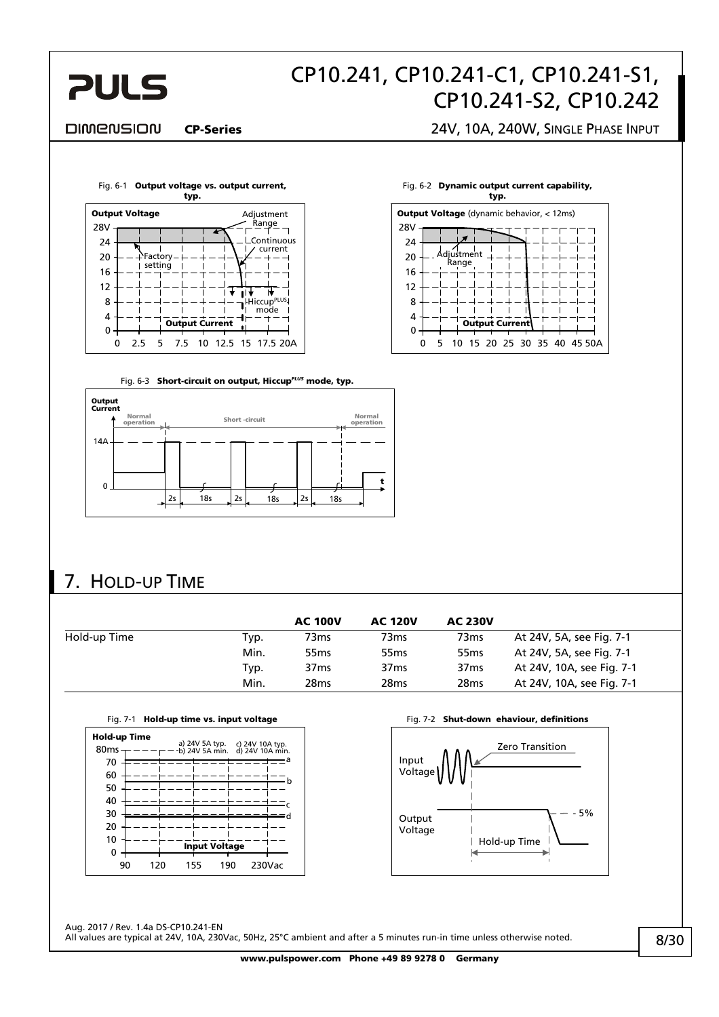<span id="page-7-0"></span>

Fig. 6-2 Dynamic output current capability, typ.

5 10 15 20 25 30 35 40 45 50A

**Output Current** 

**Output Voltage** (dynamic behavior, < 12ms)

Adjustment Range

 $\Omega$  $\Omega$ 

4 8 12

16 20  $24$ 

28V

#### DIMENSION

CP-Series 24V, 10A, 240W, SINGLE PHASE INPUT

<span id="page-7-1"></span>

Fig. 6-3 **Short-circuit on output, Hiccup<sup>PLUS</sup> mode, typ.** 

<span id="page-7-2"></span>

### 7. HOLD-UP TIME

|              |      | <b>AC 100V</b>   | <b>AC 120V</b>   | <b>AC 230V</b>   |                           |
|--------------|------|------------------|------------------|------------------|---------------------------|
| Hold-up Time | Typ. | 73ms             | 73ms             | 73 <sub>ms</sub> | At 24V, 5A, see Fig. 7-1  |
|              | Min. | 55 <sub>ms</sub> | 55 <sub>ms</sub> | 55 <sub>ms</sub> | At 24V, 5A, see Fig. 7-1  |
|              | Typ. | 37 <sub>ms</sub> | 37 <sub>ms</sub> | 37 <sub>ms</sub> | At 24V, 10A, see Fig. 7-1 |
|              | Min. | 28 <sub>ms</sub> | 28 <sub>ms</sub> | 28 <sub>ms</sub> | At 24V, 10A, see Fig. 7-1 |

<span id="page-7-3"></span>

Fig. 7-1 Hold-up time vs. input voltage Fig. 7-2 Shut-down ehaviour, definitions



Aug. 2017 / Rev. 1.4a DS-CP10.241-EN All values are typical at 24V, 10A, 230Vac, 50Hz, 25°C ambient and after a 5 minutes run-in time unless otherwise noted.

www.pulspower.com Phone +49 89 9278 0 Germany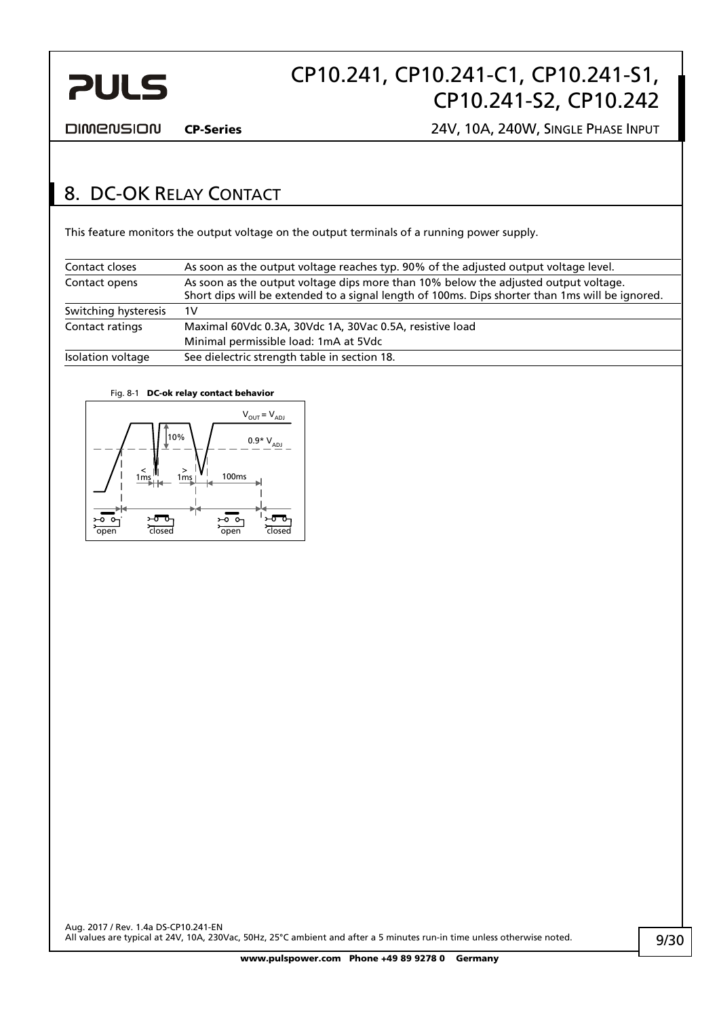<span id="page-8-0"></span>

**DIMENSION** 

CP-Series 24V, 10A, 240W, SINGLE PHASE INPUT

### <span id="page-8-1"></span>8. DC-OK RELAY CONTACT

This feature monitors the output voltage on the output terminals of a running power supply.

| Contact closes       | As soon as the output voltage reaches typ. 90% of the adjusted output voltage level.                                                                                                   |
|----------------------|----------------------------------------------------------------------------------------------------------------------------------------------------------------------------------------|
| Contact opens        | As soon as the output voltage dips more than 10% below the adjusted output voltage.<br>Short dips will be extended to a signal length of 100ms. Dips shorter than 1ms will be ignored. |
| Switching hysteresis | 1V                                                                                                                                                                                     |
| Contact ratings      | Maximal 60Vdc 0.3A, 30Vdc 1A, 30Vac 0.5A, resistive load                                                                                                                               |
|                      | Minimal permissible load: 1mA at 5Vdc                                                                                                                                                  |
| Isolation voltage    | See dielectric strength table in section 18.                                                                                                                                           |

#### Fig. 8-1 DC-ok relay contact behavior

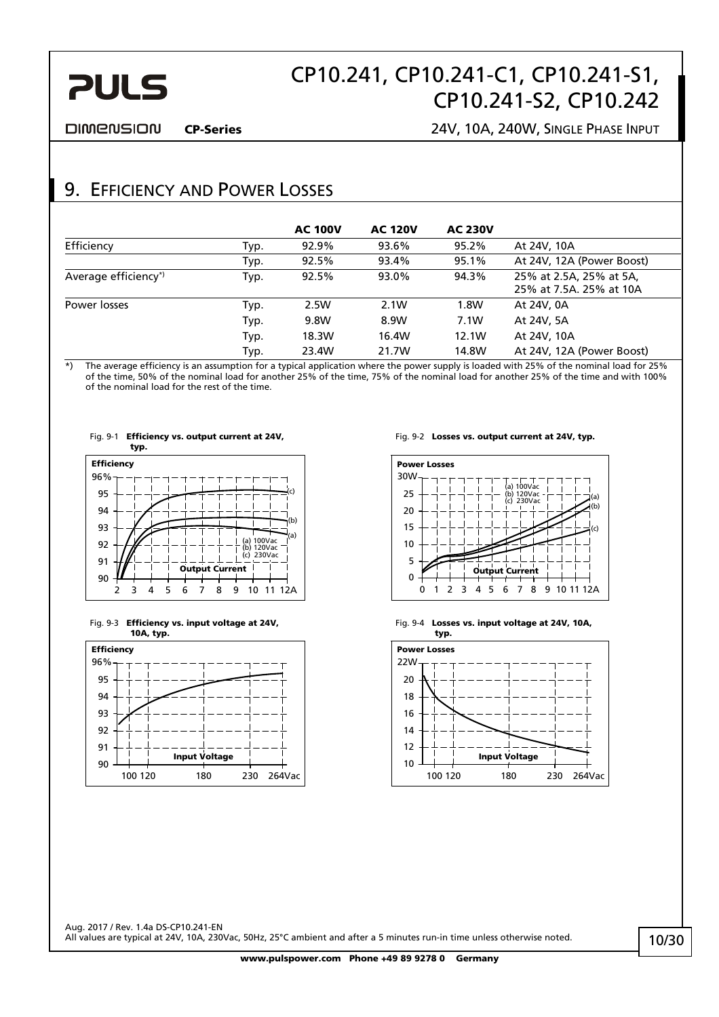# CP10.241, CP10.241-C1, CP10.241-S1, CP10.241-S2, CP10.242

<span id="page-9-0"></span>**DIMENSION** 

CP-Series 24V, 10A, 240W, SINGLE PHASE INPUT

### 9. EFFICIENCY AND POWER LOSSES

|                      |      | <b>AC 100V</b> | <b>AC 120V</b> | <b>AC 230V</b> |                                                    |
|----------------------|------|----------------|----------------|----------------|----------------------------------------------------|
| Efficiency           | Typ. | 92.9%          | 93.6%          | 95.2%          | At 24V, 10A                                        |
|                      | Typ. | 92.5%          | 93.4%          | 95.1%          | At 24V, 12A (Power Boost)                          |
| Average efficiency*) | Typ. | 92.5%          | 93.0%          | 94.3%          | 25% at 2.5A, 25% at 5A,<br>25% at 7.5A. 25% at 10A |
| Power losses         | Typ. | 2.5W           | 2.1W           | 1.8W           | At 24V, 0A                                         |
|                      | Typ. | 9.8W           | 8.9W           | 7.1W           | At 24V, 5A                                         |
|                      | Typ. | 18.3W          | 16.4W          | 12.1W          | At 24V, 10A                                        |
|                      | Typ. | 23.4W          | 21.7W          | 14.8W          | At 24V, 12A (Power Boost)                          |

\*) The average efficiency is an assumption for a typical application where the power supply is loaded with 25% of the nominal load for 25% of the time, 50% of the nominal load for another 25% of the time, 75% of the nominal load for another 25% of the time and with 100% of the nominal load for the rest of the time.





Fig. 9-3 Efficiency vs. input voltage at 24V, 10A, typ.



Fig. 9-2 Losses vs. output current at 24V, typ.



Fig. 9-4 Losses vs. input voltage at 24V, 10A,

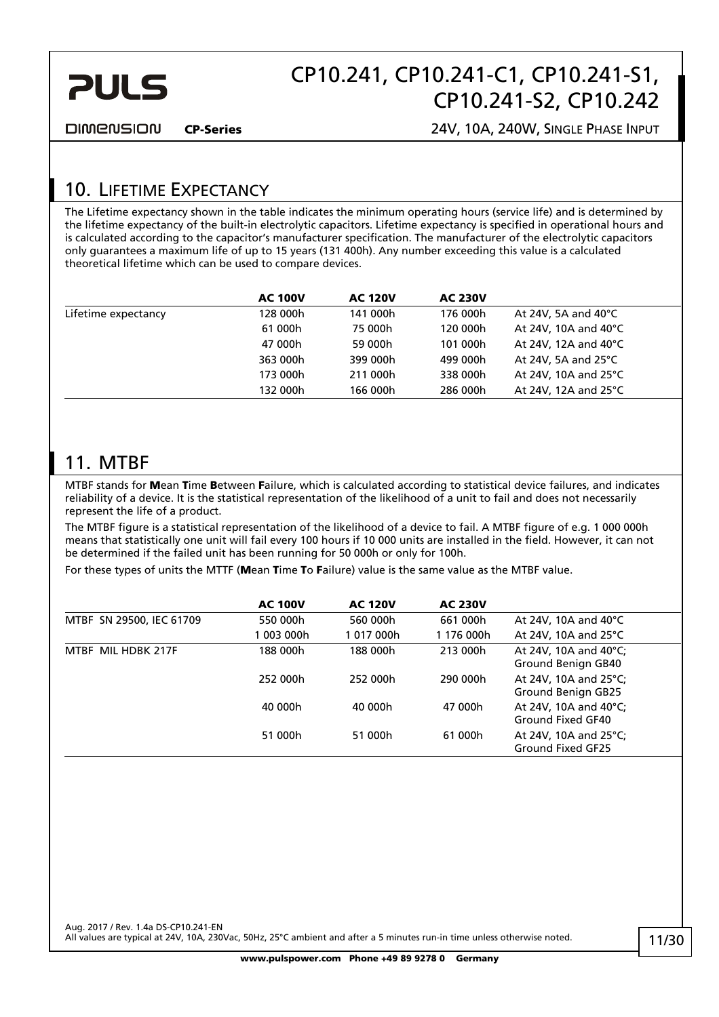<span id="page-10-0"></span>

**DIMENSION** 

CP-Series 24V, 10A, 240W, SINGLE PHASE INPUT

### 10. LIFETIME EXPECTANCY

The Lifetime expectancy shown in the table indicates the minimum operating hours (service life) and is determined by the lifetime expectancy of the built-in electrolytic capacitors. Lifetime expectancy is specified in operational hours and is calculated according to the capacitor's manufacturer specification. The manufacturer of the electrolytic capacitors only guarantees a maximum life of up to 15 years (131 400h). Any number exceeding this value is a calculated theoretical lifetime which can be used to compare devices.

|                     | <b>AC 100V</b> | <b>AC 120V</b> | <b>AC 230V</b> |                                |  |
|---------------------|----------------|----------------|----------------|--------------------------------|--|
| Lifetime expectancy | 128 000h       | 141 000h       | 176 000h       | At 24V, 5A and 40 $^{\circ}$ C |  |
|                     | 61 000h        | 75 000h        | 120 000h       | At 24V, 10A and 40°C           |  |
|                     | 47 000h        | 59 000h        | 101 000h       | At 24V, 12A and $40^{\circ}$ C |  |
|                     | 363 000h       | 399 000h       | 499 000h       | At 24V, 5A and $25^{\circ}$ C  |  |
|                     | 173 000h       | 211 000h       | 338 000h       | At 24V, 10A and 25 $\degree$ C |  |
|                     | 132 000h       | 166 000h       | 286 000h       | At 24V, 12A and $25^{\circ}$ C |  |
|                     |                |                |                |                                |  |

### 11. MTBF

MTBF stands for Mean Time Between Failure, which is calculated according to statistical device failures, and indicates reliability of a device. It is the statistical representation of the likelihood of a unit to fail and does not necessarily represent the life of a product.

The MTBF figure is a statistical representation of the likelihood of a device to fail. A MTBF figure of e.g. 1 000 000h means that statistically one unit will fail every 100 hours if 10 000 units are installed in the field. However, it can not be determined if the failed unit has been running for 50 000h or only for 100h.

For these types of units the MTTF (Mean Time To Failure) value is the same value as the MTBF value.

|                          | <b>AC 100V</b> | <b>AC 120V</b> | <b>AC 230V</b> |                                             |
|--------------------------|----------------|----------------|----------------|---------------------------------------------|
| MTBF SN 29500, IEC 61709 | 550 000h       | 560 000h       | 661 000h       | At 24V, 10A and 40 $^{\circ}$ C             |
|                          | 003 000h       | 1017000h       | 1 176 000h     | At 24V, 10A and 25 $\degree$ C              |
| MTBF MIL HDBK 217F       | 188 000h       | 188 000h       | 213 000h       | At 24V, 10A and 40°C;<br>Ground Benign GB40 |
|                          | 252 000h       | 252 000h       | 290 000h       | At 24V, 10A and 25°C;<br>Ground Benign GB25 |
|                          | 40 000h        | 40 000h        | 47 000h        | At 24V, 10A and 40°C;<br>Ground Fixed GF40  |
|                          | 51 000h        | 51 000h        | 61 000h        | At 24V, 10A and 25°C;<br>Ground Fixed GF25  |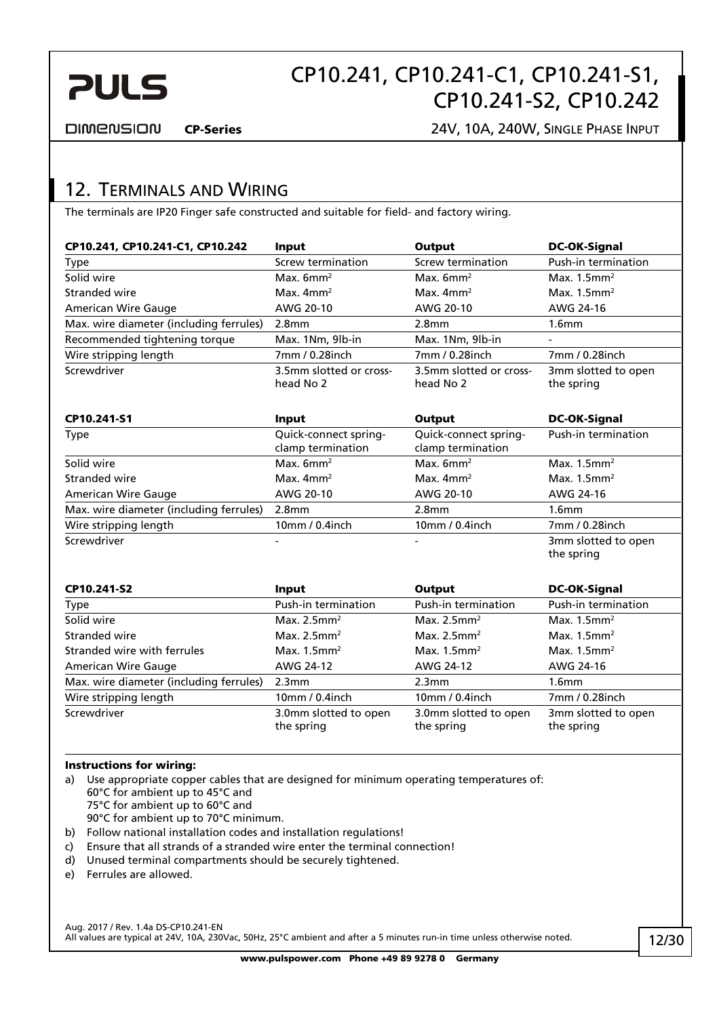<span id="page-11-0"></span>

DIMENSION

CP-Series 24V, 10A, 240W, SINGLE PHASE INPUT

### 12. TERMINALS AND WIRING

The terminals are IP20 Finger safe constructed and suitable for field- and factory wiring.

| CP10.241, CP10.241-C1, CP10.242         | <b>Input</b>                               | Output                                     | <b>DC-OK-Signal</b>               |
|-----------------------------------------|--------------------------------------------|--------------------------------------------|-----------------------------------|
| Type                                    | <b>Screw termination</b>                   | Screw termination                          | Push-in termination               |
| Solid wire                              | Max. $6mm^2$                               | Max. $6mm^2$                               | Max. $1.5$ mm <sup>2</sup>        |
| Stranded wire                           | Max. $4mm2$                                | Max. $4mm2$                                | Max. $1.5$ mm <sup>2</sup>        |
| <b>American Wire Gauge</b>              | AWG 20-10                                  | AWG 20-10                                  | AWG 24-16                         |
| Max. wire diameter (including ferrules) | 2.8 <sub>mm</sub>                          | 2.8 <sub>mm</sub>                          | 1.6 <sub>mm</sub>                 |
| Recommended tightening torque           | Max. 1Nm, 9lb-in                           | Max. 1Nm, 9lb-in                           |                                   |
| Wire stripping length                   | 7mm / 0.28inch                             | 7mm / 0.28inch                             | 7mm / 0.28inch                    |
| Screwdriver                             | 3.5mm slotted or cross-<br>head No 2       | 3.5mm slotted or cross-<br>head No 2       | 3mm slotted to open<br>the spring |
| CP10.241-S1                             | Input                                      | Output                                     | <b>DC-OK-Signal</b>               |
| Type                                    | Quick-connect spring-<br>clamp termination | Quick-connect spring-<br>clamp termination | Push-in termination               |
| Solid wire                              | Max. $6mm^2$                               | Max. $6mm^2$                               | Max. $1.5$ mm <sup>2</sup>        |
| Stranded wire                           | Max. $4mm2$                                | Max. $4mm2$                                | Max. $1.5$ mm <sup>2</sup>        |
| <b>American Wire Gauge</b>              | AWG 20-10                                  | AWG 20-10                                  | AWG 24-16                         |
| Max. wire diameter (including ferrules) | 2.8 <sub>mm</sub>                          | 2.8 <sub>mm</sub>                          | 1.6 <sub>mm</sub>                 |
| Wire stripping length                   | 10mm / 0.4inch                             | 10mm / 0.4inch                             | 7mm / 0.28inch                    |
| Screwdriver                             |                                            |                                            | 3mm slotted to open<br>the spring |

| CP10.241-S2                             | Input                               | Output                              | <b>DC-OK-Signal</b>               |
|-----------------------------------------|-------------------------------------|-------------------------------------|-----------------------------------|
| Type                                    | Push-in termination                 | Push-in termination                 | Push-in termination               |
| Solid wire                              | Max. $2.5$ mm <sup>2</sup>          | Max. $2.5$ mm <sup>2</sup>          | Max. $1.5$ mm <sup>2</sup>        |
| Stranded wire                           | Max. $2.5$ mm <sup>2</sup>          | Max. $2.5$ mm <sup>2</sup>          | Max. $1.5$ mm <sup>2</sup>        |
| Stranded wire with ferrules             | Max. $1.5$ mm <sup>2</sup>          | Max. $1.5$ mm <sup>2</sup>          | Max. $1.5$ mm <sup>2</sup>        |
| American Wire Gauge                     | AWG 24-12                           | AWG 24-12                           | AWG 24-16                         |
| Max. wire diameter (including ferrules) | 2.3 <sub>mm</sub>                   | 2.3mm                               | 1.6 <sub>mm</sub>                 |
| Wire stripping length                   | 10mm / 0.4inch                      | 10mm / 0.4inch                      | 7mm / 0.28inch                    |
| Screwdriver                             | 3.0mm slotted to open<br>the spring | 3.0mm slotted to open<br>the spring | 3mm slotted to open<br>the spring |

#### Instructions for wiring:

a) Use appropriate copper cables that are designed for minimum operating temperatures of: 60°C for ambient up to 45°C and

75°C for ambient up to 60°C and

90°C for ambient up to 70°C minimum.

- b) Follow national installation codes and installation regulations!
- c) Ensure that all strands of a stranded wire enter the terminal connection!
- d) Unused terminal compartments should be securely tightened.
- e) Ferrules are allowed.

Aug. 2017 / Rev. 1.4a DS-CP10.241-EN All values are typical at 24V, 10A, 230Vac, 50Hz, 25°C ambient and after a 5 minutes run-in time unless otherwise noted. H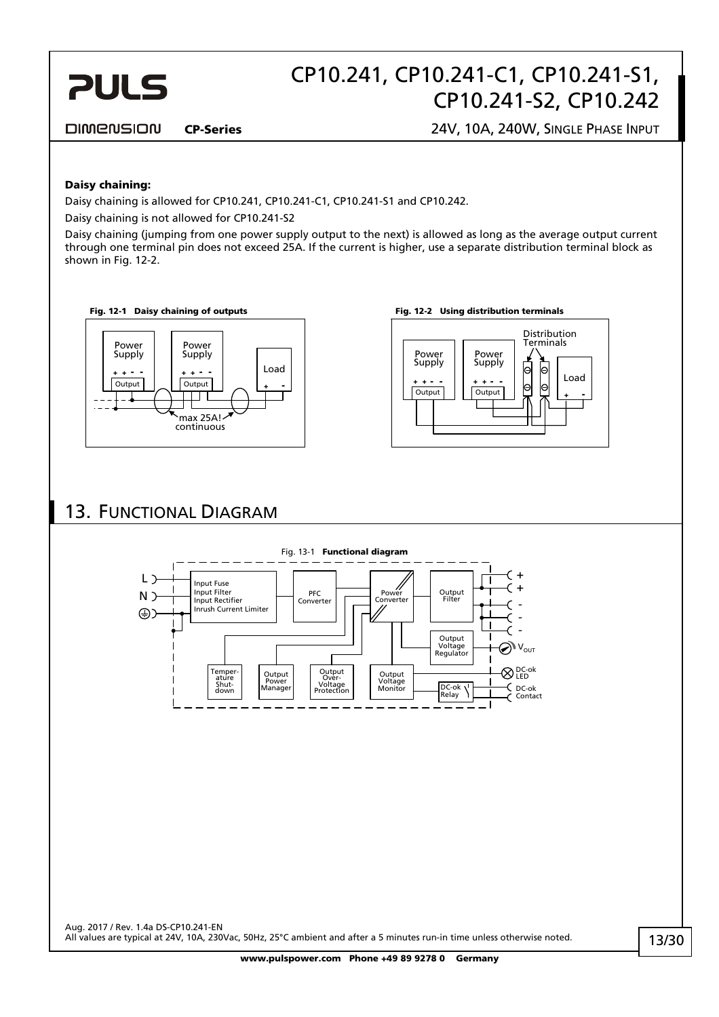# CP10.241, CP10.241-C1, CP10.241-S1, CP10.241-S2, CP10.242

#### <span id="page-12-0"></span>**DIMENSION**

CP-Series 24V, 10A, 240W, SINGLE PHASE INPUT

#### Daisy chaining:

Daisy chaining is allowed for CP10.241, CP10.241-C1, CP10.241-S1 and CP10.242.

Daisy chaining is not allowed for CP10.241-S2

Daisy chaining (jumping from one power supply output to the next) is allowed as long as the average output current through one terminal pin does not exceed 25A. If the current is higher, use a separate distribution terminal block as shown in [Fig. 12-2.](#page-12-1)

Fig. 12-1 Daisy chaining of outputs Fig. 12-2 Using distribution terminals

<span id="page-12-1"></span>



### 13. FUNCTIONAL DIAGRAM

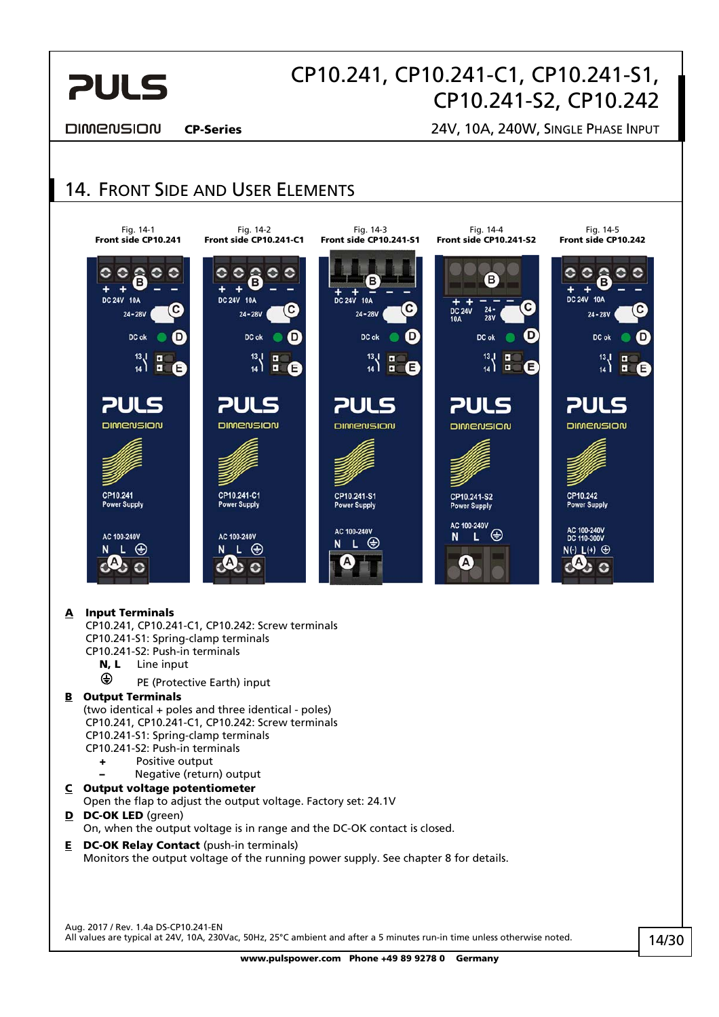<span id="page-13-0"></span>

#### **DIMENSION**

CP-Series 24V, 10A, 240W, SINGLE PHASE INPUT

### 14. FRONT SIDE AND USER ELEMENTS



#### A Input Terminals

 CP10.241, CP10.241-C1, CP10.242: Screw terminals CP10.241-S1: Spring-clamp terminals CP10.241-S2: Push-in terminals

- N, L Line input
- **E** PE (Protective Earth) input

#### **B** Output Terminals

(two identical + poles and three identical - poles) CP10.241, CP10.241-C1, CP10.242: Screw terminals CP10.241-S1: Spring-clamp terminals CP10.241-S2: Push-in terminals

- + Positive output
- Negative (return) output
- C Output voltage potentiometer

Open the flap to adjust the output voltage. Factory set: 24.1V

- D DC-OK LED (green) On, when the output voltage is in range and the DC-OK contact is closed.
- **E** DC-OK Relay Contact (push-in terminals) Monitors the output voltage of the running power supply. See chapter [8](#page-8-1) for details.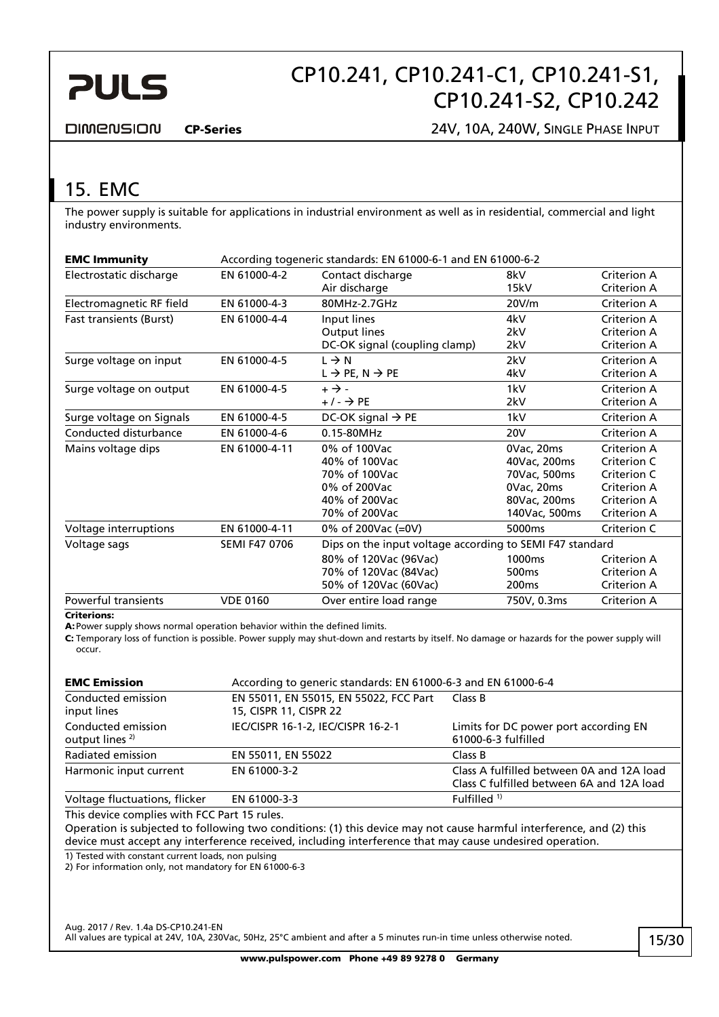<span id="page-14-0"></span>

**DIMENSION** 

CP-Series 24V, 10A, 240W, SINGLE PHASE INPUT

## <span id="page-14-1"></span>15. EMC

The power supply is suitable for applications in industrial environment as well as in residential, commercial and light industry environments.

| <b>EMC Immunity</b>      | According togeneric standards: EN 61000-6-1 and EN 61000-6-2 |                                                          |                   |                            |
|--------------------------|--------------------------------------------------------------|----------------------------------------------------------|-------------------|----------------------------|
| Electrostatic discharge  | EN 61000-4-2                                                 | Contact discharge<br>Air discharge                       | 8kV<br>15kV       | Criterion A<br>Criterion A |
| Electromagnetic RF field | EN 61000-4-3                                                 | 80MHz-2.7GHz                                             | 20V/m             | Criterion A                |
| Fast transients (Burst)  | EN 61000-4-4                                                 | Input lines                                              | 4kV               | Criterion A                |
|                          |                                                              | Output lines                                             | 2kV               | Criterion A                |
|                          |                                                              | DC-OK signal (coupling clamp)                            | 2kV               | Criterion A                |
| Surge voltage on input   | EN 61000-4-5                                                 | $L \rightarrow N$                                        | 2kV               | Criterion A                |
|                          |                                                              | $L \rightarrow PE, N \rightarrow PE$                     | 4kV               | Criterion A                |
| Surge voltage on output  | EN 61000-4-5                                                 | $+ \rightarrow -$                                        | 1kV               | Criterion A                |
|                          |                                                              | $+/ \rightarrow$ PE                                      | 2kV               | <b>Criterion A</b>         |
| Surge voltage on Signals | EN 61000-4-5                                                 | DC-OK signal $\rightarrow$ PE                            | 1kV               | Criterion A                |
| Conducted disturbance    | EN 61000-4-6                                                 | 0.15-80MHz                                               | 20 <sub>V</sub>   | Criterion A                |
| Mains voltage dips       | EN 61000-4-11                                                | 0% of 100Vac                                             | 0Vac, 20ms        | Criterion A                |
|                          |                                                              | 40% of 100Vac                                            | 40Vac, 200ms      | Criterion C                |
|                          |                                                              | 70% of 100Vac                                            | 70Vac, 500ms      | Criterion C                |
|                          |                                                              | 0% of 200Vac                                             | 0Vac, 20ms        | Criterion A                |
|                          |                                                              | 40% of 200Vac                                            | 80Vac, 200ms      | <b>Criterion A</b>         |
|                          |                                                              | 70% of 200Vac                                            | 140Vac, 500ms     | Criterion A                |
| Voltage interruptions    | EN 61000-4-11                                                | 0% of 200Vac (=0V)                                       | 5000ms            | Criterion C                |
| Voltage sags             | <b>SEMI F47 0706</b>                                         | Dips on the input voltage according to SEMI F47 standard |                   |                            |
|                          |                                                              | 80% of 120Vac (96Vac)                                    | 1000ms            | Criterion A                |
|                          |                                                              | 70% of 120Vac (84Vac)                                    | 500 <sub>ms</sub> | Criterion A                |
|                          |                                                              | 50% of 120Vac (60Vac)                                    | 200 <sub>ms</sub> | Criterion A                |
| Powerful transients      | <b>VDE 0160</b>                                              | Over entire load range                                   | 750V, 0.3ms       | Criterion A                |

#### Criterions:

A: Power supply shows normal operation behavior within the defined limits.

C: Temporary loss of function is possible. Power supply may shut-down and restarts by itself. No damage or hazards for the power supply will occur.

| <b>EMC Emission</b>                              | According to generic standards: EN 61000-6-3 and EN 61000-6-4    |                                                                                        |  |
|--------------------------------------------------|------------------------------------------------------------------|----------------------------------------------------------------------------------------|--|
| Conducted emission<br>input lines                | EN 55011, EN 55015, EN 55022, FCC Part<br>15, CISPR 11, CISPR 22 | Class B                                                                                |  |
| Conducted emission<br>output lines <sup>2)</sup> | IEC/CISPR 16-1-2, IEC/CISPR 16-2-1                               | Limits for DC power port according EN<br>61000-6-3 fulfilled                           |  |
| Radiated emission                                | EN 55011, EN 55022                                               | Class B                                                                                |  |
| Harmonic input current                           | EN 61000-3-2                                                     | Class A fulfilled between 0A and 12A load<br>Class C fulfilled between 6A and 12A load |  |
| Voltage fluctuations, flicker                    | EN 61000-3-3                                                     | Fulfilled $1$ )                                                                        |  |

This device complies with FCC Part 15 rules.

Operation is subjected to following two conditions: (1) this device may not cause harmful interference, and (2) this device must accept any interference received, including interference that may cause undesired operation.

1) Tested with constant current loads, non pulsing

2) For information only, not mandatory for EN 61000-6-3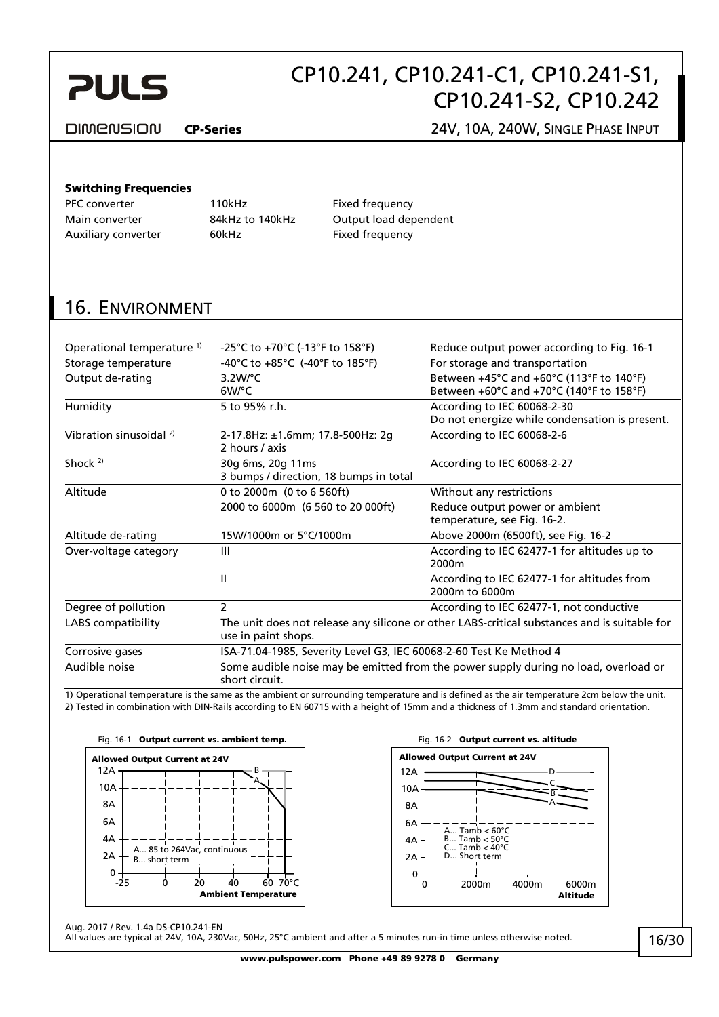# CP10.241, CP10.241-C1, CP10.241-S1, CP10.241-S2, CP10.242

#### <span id="page-15-0"></span>DIMENSION

#### CP-Series 24V, 10A, 240W, SINGLE PHASE INPUT

#### Switching Frequencies

| <b>PFC</b> converter | 10kHz           | Fixed frequency       |
|----------------------|-----------------|-----------------------|
| Main converter       | 84kHz to 140kHz | Output load dependent |
| Auxiliary converter  | 60kHz           | Fixed frequency       |
|                      |                 |                       |

### 16. ENVIRONMENT

| Operational temperature <sup>1)</sup> | -25°C to +70°C (-13°F to 158°F)                                                                                     | Reduce output power according to Fig. 16-1                                                               |  |
|---------------------------------------|---------------------------------------------------------------------------------------------------------------------|----------------------------------------------------------------------------------------------------------|--|
| Storage temperature                   | -40°C to +85°C (-40°F to 185°F)                                                                                     | For storage and transportation                                                                           |  |
| Output de-rating                      | $3.2W$ <sup>o</sup> C<br>6W/°C                                                                                      | Between +45°C and +60°C (113°F to 140°F)<br>Between $+60^{\circ}$ C and $+70^{\circ}$ C (140°F to 158°F) |  |
| Humidity                              | 5 to 95% r.h.                                                                                                       | According to IEC 60068-2-30<br>Do not energize while condensation is present.                            |  |
| Vibration sinusoidal <sup>2)</sup>    | 2-17.8Hz: ±1.6mm; 17.8-500Hz: 2g<br>2 hours / axis                                                                  | According to IEC 60068-2-6                                                                               |  |
| Shock $2$                             | 30g 6ms, 20g 11ms<br>3 bumps / direction, 18 bumps in total                                                         | According to IEC 60068-2-27                                                                              |  |
| Altitude                              | 0 to 2000m (0 to 6 560ft)                                                                                           | Without any restrictions                                                                                 |  |
|                                       | 2000 to 6000m (6 560 to 20 000ft)                                                                                   | Reduce output power or ambient<br>temperature, see Fig. 16-2.                                            |  |
| Altitude de-rating                    | 15W/1000m or 5°C/1000m                                                                                              | Above 2000m (6500ft), see Fig. 16-2                                                                      |  |
| Over-voltage category                 | Ш                                                                                                                   | According to IEC 62477-1 for altitudes up to<br>2000m                                                    |  |
|                                       | Ш                                                                                                                   | According to IEC 62477-1 for altitudes from<br>2000m to 6000m                                            |  |
| Degree of pollution                   | 2                                                                                                                   | According to IEC 62477-1, not conductive                                                                 |  |
| LABS compatibility                    | The unit does not release any silicone or other LABS-critical substances and is suitable for<br>use in paint shops. |                                                                                                          |  |
| Corrosive gases                       | ISA-71.04-1985, Severity Level G3, IEC 60068-2-60 Test Ke Method 4                                                  |                                                                                                          |  |
| Audible noise                         | Some audible noise may be emitted from the power supply during no load, overload or<br>short circuit.               |                                                                                                          |  |

1) Operational temperature is the same as the ambient or surrounding temperature and is defined as the air temperature 2cm below the unit. 2) Tested in combination with DIN-Rails according to EN 60715 with a height of 15mm and a thickness of 1.3mm and standard orientation.

<span id="page-15-1"></span>





Aug. 2017 / Rev. 1.4a DS-CP10.241-EN

All values are typical at 24V, 10A, 230Vac, 50Hz, 25°C ambient and after a 5 minutes run-in time unless otherwise noted.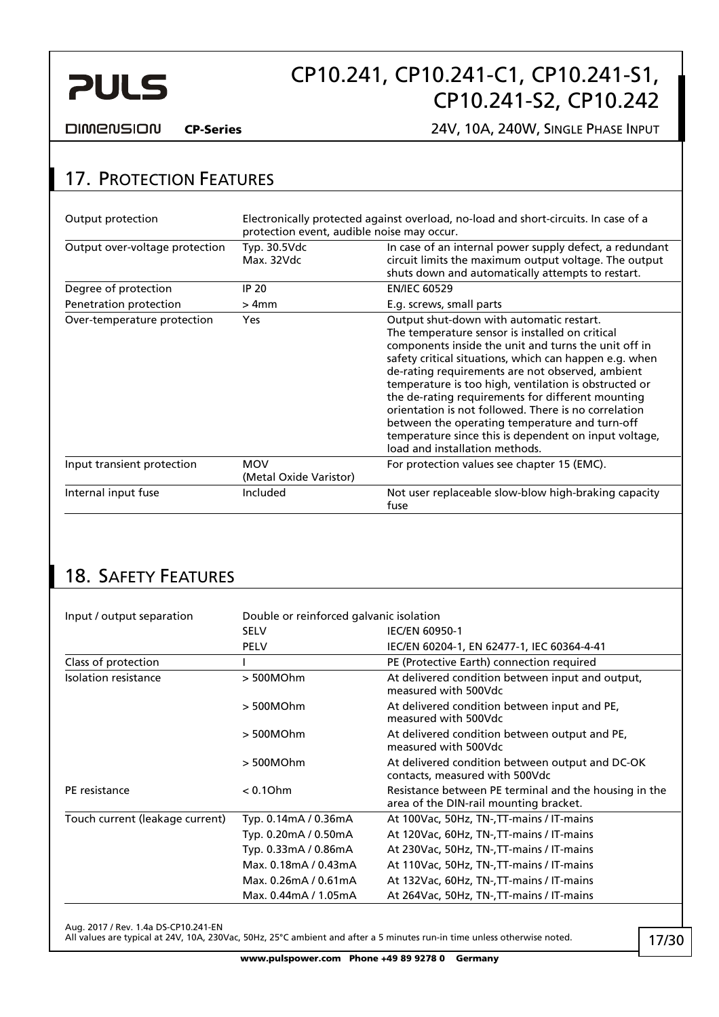<span id="page-16-0"></span>

**DIMENSION** 

CP-Series 24V, 10A, 240W, SINGLE PHASE INPUT

### 17. PROTECTION FEATURES

| Output protection              | protection event, audible noise may occur. | Electronically protected against overload, no-load and short-circuits. In case of a                                                                                                                                                                                                                                                                                                                                                                                                                                                                                                  |
|--------------------------------|--------------------------------------------|--------------------------------------------------------------------------------------------------------------------------------------------------------------------------------------------------------------------------------------------------------------------------------------------------------------------------------------------------------------------------------------------------------------------------------------------------------------------------------------------------------------------------------------------------------------------------------------|
| Output over-voltage protection | Typ. 30.5Vdc<br>Max. 32Vdc                 | In case of an internal power supply defect, a redundant<br>circuit limits the maximum output voltage. The output<br>shuts down and automatically attempts to restart.                                                                                                                                                                                                                                                                                                                                                                                                                |
| Degree of protection           | IP 20                                      | <b>EN/IEC 60529</b>                                                                                                                                                                                                                                                                                                                                                                                                                                                                                                                                                                  |
| Penetration protection         | $>4$ mm                                    | E.g. screws, small parts                                                                                                                                                                                                                                                                                                                                                                                                                                                                                                                                                             |
| Over-temperature protection    | <b>Yes</b>                                 | Output shut-down with automatic restart.<br>The temperature sensor is installed on critical<br>components inside the unit and turns the unit off in<br>safety critical situations, which can happen e.g. when<br>de-rating requirements are not observed, ambient<br>temperature is too high, ventilation is obstructed or<br>the de-rating requirements for different mounting<br>orientation is not followed. There is no correlation<br>between the operating temperature and turn-off<br>temperature since this is dependent on input voltage,<br>load and installation methods. |
| Input transient protection     | <b>MOV</b><br>(Metal Oxide Varistor)       | For protection values see chapter 15 (EMC).                                                                                                                                                                                                                                                                                                                                                                                                                                                                                                                                          |
| Internal input fuse            | Included                                   | Not user replaceable slow-blow high-braking capacity<br>fuse                                                                                                                                                                                                                                                                                                                                                                                                                                                                                                                         |

## 18. SAFETY FEATURES

| Input / output separation       | Double or reinforced galvanic isolation |                                                                                                 |  |  |
|---------------------------------|-----------------------------------------|-------------------------------------------------------------------------------------------------|--|--|
|                                 | <b>SELV</b>                             | <b>IEC/EN 60950-1</b>                                                                           |  |  |
|                                 | <b>PELV</b>                             | IEC/EN 60204-1, EN 62477-1, IEC 60364-4-41                                                      |  |  |
| Class of protection             |                                         | PE (Protective Earth) connection required                                                       |  |  |
| Isolation resistance            | > 500MOhm                               | At delivered condition between input and output,<br>measured with 500Vdc                        |  |  |
|                                 | > 500MOhm                               | At delivered condition between input and PE,<br>measured with 500Vdc                            |  |  |
|                                 | > 500MOhm                               | At delivered condition between output and PE.<br>measured with 500Vdc                           |  |  |
|                                 | > 500MOhm                               | At delivered condition between output and DC-OK<br>contacts, measured with 500Vdc               |  |  |
| PE resistance                   | $< 0.1$ Ohm                             | Resistance between PE terminal and the housing in the<br>area of the DIN-rail mounting bracket. |  |  |
| Touch current (leakage current) | Typ. 0.14mA / 0.36mA                    | At 100Vac, 50Hz, TN-, TT-mains / IT-mains                                                       |  |  |
|                                 | Typ. 0.20mA / 0.50mA                    | At 120Vac, 60Hz, TN-, TT-mains / IT-mains                                                       |  |  |
|                                 | Typ. 0.33mA / 0.86mA                    | At 230Vac, 50Hz, TN-, TT-mains / IT-mains                                                       |  |  |
|                                 | Max. 0.18mA / 0.43mA                    | At 110Vac, 50Hz, TN-, TT-mains / IT-mains                                                       |  |  |
|                                 | Max. 0.26mA / 0.61mA                    | At 132Vac, 60Hz, TN-, TT-mains / IT-mains                                                       |  |  |
|                                 | Max. 0.44mA / 1.05mA                    | At 264Vac, 50Hz, TN-, TT-mains / IT-mains                                                       |  |  |

Aug. 2017 / Rev. 1.4a DS-CP10.241-EN

All values are typical at 24V, 10A, 230Vac, 50Hz, 25°C ambient and after a 5 minutes run-in time unless otherwise noted.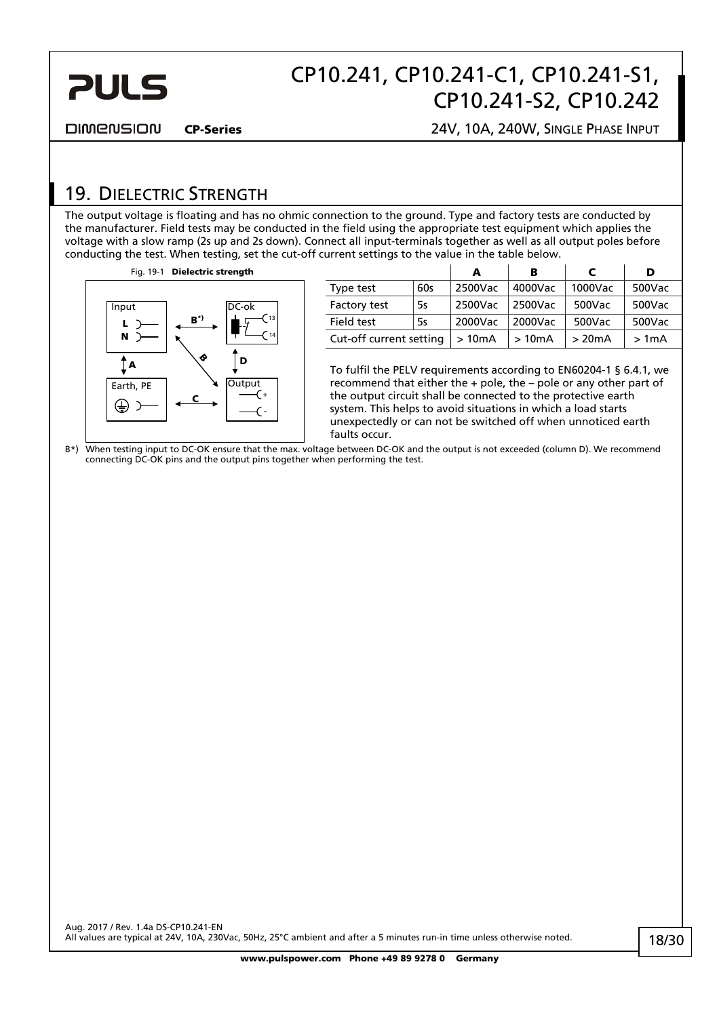<span id="page-17-0"></span>

**DIMENSION** 

CP-Series 24V, 10A, 240W, SINGLE PHASE INPUT

### <span id="page-17-1"></span>19. DIELECTRIC STRENGTH

The output voltage is floating and has no ohmic connection to the ground. Type and factory tests are conducted by the manufacturer. Field tests may be conducted in the field using the appropriate test equipment which applies the voltage with a slow ramp (2s up and 2s down). Connect all input-terminals together as well as all output poles before conducting the test. When testing, set the cut-off current settings to the value in the table below.

Fig. 19-1 Dielectric strength



|                         |     | в<br>А  |         | c       | D      |
|-------------------------|-----|---------|---------|---------|--------|
| Type test               | 60s | 2500Vac | 4000Vac | 1000Vac | 500Vac |
| Factory test            | 5s  |         | 2500Vac | 500Vac  | 500Vac |
| Field test<br>5s        |     | 2000Vac | 2000Vac | 500Vac  | 500Vac |
| Cut-off current setting |     | >10mA   | >10mA   | >20mA   | >1mA   |

To fulfil the PELV requirements according to EN60204-1 § 6.4.1, we recommend that either the + pole, the – pole or any other part of the output circuit shall be connected to the protective earth system. This helps to avoid situations in which a load starts unexpectedly or can not be switched off when unnoticed earth faults occur.

B\*) When testing input to DC-OK ensure that the max. voltage between DC-OK and the output is not exceeded (column D). We recommend connecting DC-OK pins and the output pins together when performing the test.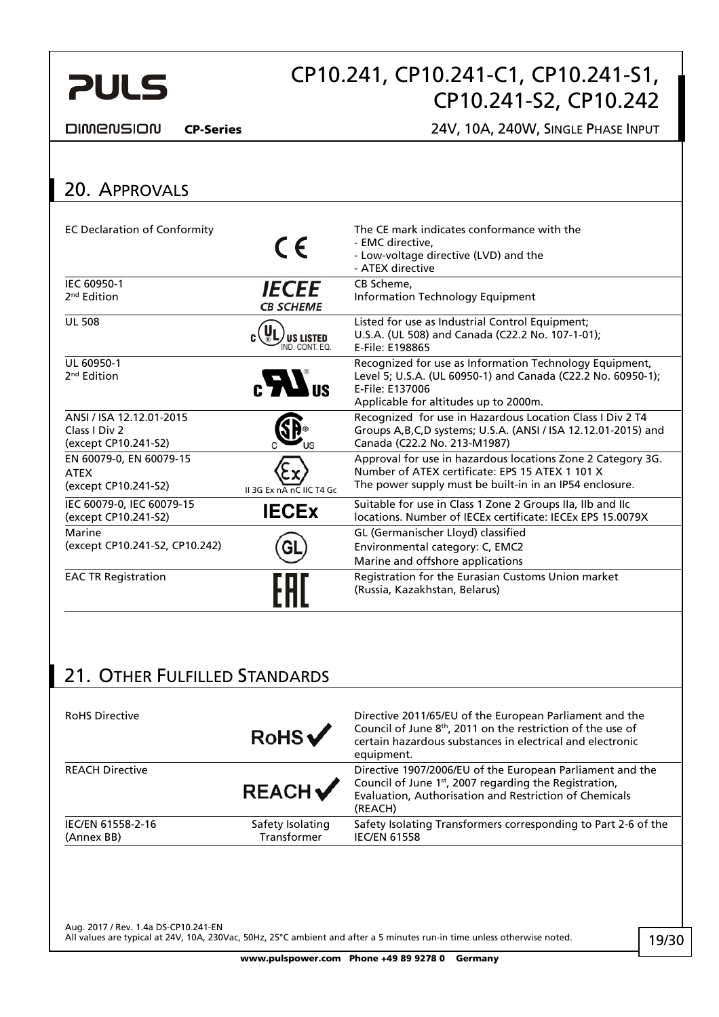<span id="page-18-1"></span>

**DIMENSION** 

CP-Series 24V, 10A, 240W, SINGLE PHASE INPUT

#### <span id="page-18-0"></span>20. APPROVALS EC Declaration of Conformity The CE mark indicates conformance with the  $\epsilon$ - EMC directive, - Low-voltage directive (LVD) and the - ATEX directive IEC 60950-1 CB Scheme, *IECEE* 2<sup>nd</sup> Edition Information Technology Equipment **CB SCHEME** UL 508 Listed for use as Industrial Control Equipment; U.S.A. (UL 508) and Canada (C22.2 No. 107-1-01);  $J$ us listed<br>Ind. Cont. eq. E-File: E198865 UL 60950-1 Recognized for use as Information Technology Equipment,  $_{c}H$ <sub>us</sub> Level 5; U.S.A. (UL 60950-1) and Canada (C22.2 No. 60950-1); 2<sup>nd</sup> Edition E-File: E137006 Applicable for altitudes up to 2000m. ANSI / ISA 12.12.01-2015 Recognized for use in Hazardous Location Class I Div 2 T4 Class I Div 2 Groups A,B,C,D systems; U.S.A. (ANSI / ISA 12.12.01-2015) and (except CP10.241-S2) Canada (C22.2 No. 213-M1987) EN 60079-0, EN 60079-15 Approval for use in hazardous locations Zone 2 Category 3G. Number of ATEX certificate: EPS 15 ATEX 1 101 X ATEX The power supply must be built-in in an IP54 enclosure. (except CP10.241-S2) II 3G Ex nA nC IIC T4 Gc IEC 60079-0, IEC 60079-15 IEC 60079-0, IEC 60079-15 **IECEX** Suitable for use in Class 1 Zone 2 Groups IIa, IIb and IIc<br>(except CP10.241-S2) **IECEX** IECEX Incrementations. Number of IECEx certificate: IECEx EPS 15.0079X Marine GL (Germanischer Lloyd) classified (except CP10.241-S2, CP10.242) Environmental category: C, EMC2 GL Marine and offshore applications EAC TR Registration **Registration Registration Registration** for the Eurasian Customs Union market (Russia, Kazakhstan, Belarus)

### 21. OTHER FULFILLED STANDARDS

| <b>RoHS Directive</b>           | RobS                            | Directive 2011/65/EU of the European Parliament and the<br>Council of June 8 <sup>th</sup> , 2011 on the restriction of the use of<br>certain hazardous substances in electrical and electronic<br>equipment. |
|---------------------------------|---------------------------------|---------------------------------------------------------------------------------------------------------------------------------------------------------------------------------------------------------------|
| <b>REACH Directive</b>          | REACH                           | Directive 1907/2006/EU of the European Parliament and the<br>Council of June 1st, 2007 regarding the Registration,<br>Evaluation, Authorisation and Restriction of Chemicals<br>(REACH)                       |
| IEC/EN 61558-2-16<br>(Annex BB) | Safety Isolating<br>Transformer | Safety Isolating Transformers corresponding to Part 2-6 of the<br><b>IEC/EN 61558</b>                                                                                                                         |
|                                 |                                 |                                                                                                                                                                                                               |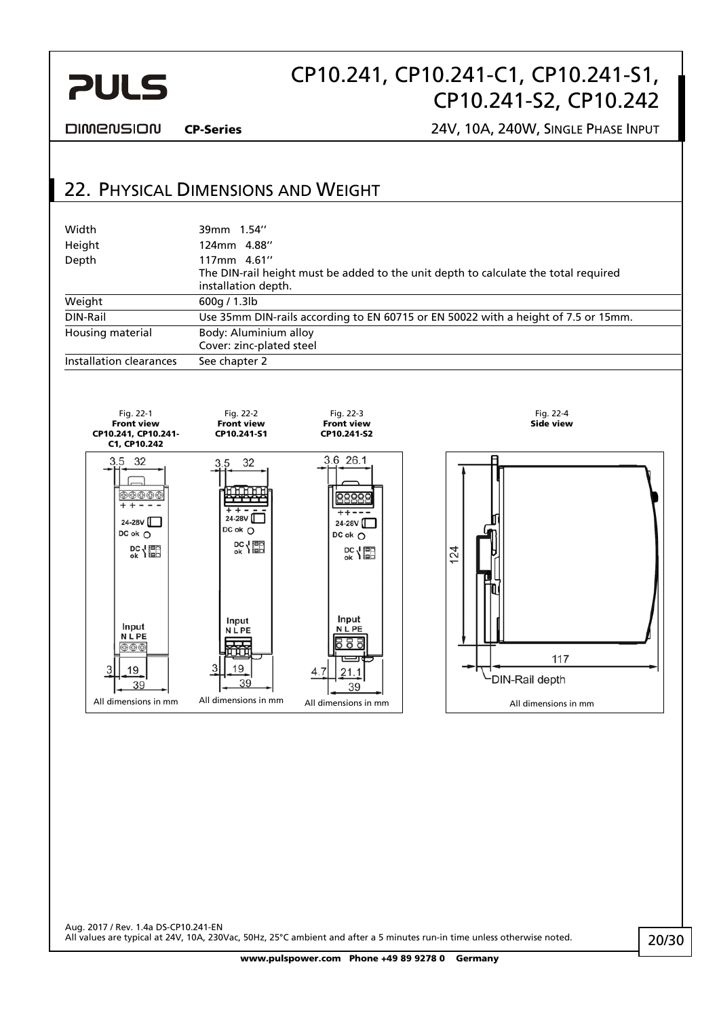<span id="page-19-0"></span>

**DIMENSION** 

CP-Series 24V, 10A, 240W, SINGLE PHASE INPUT

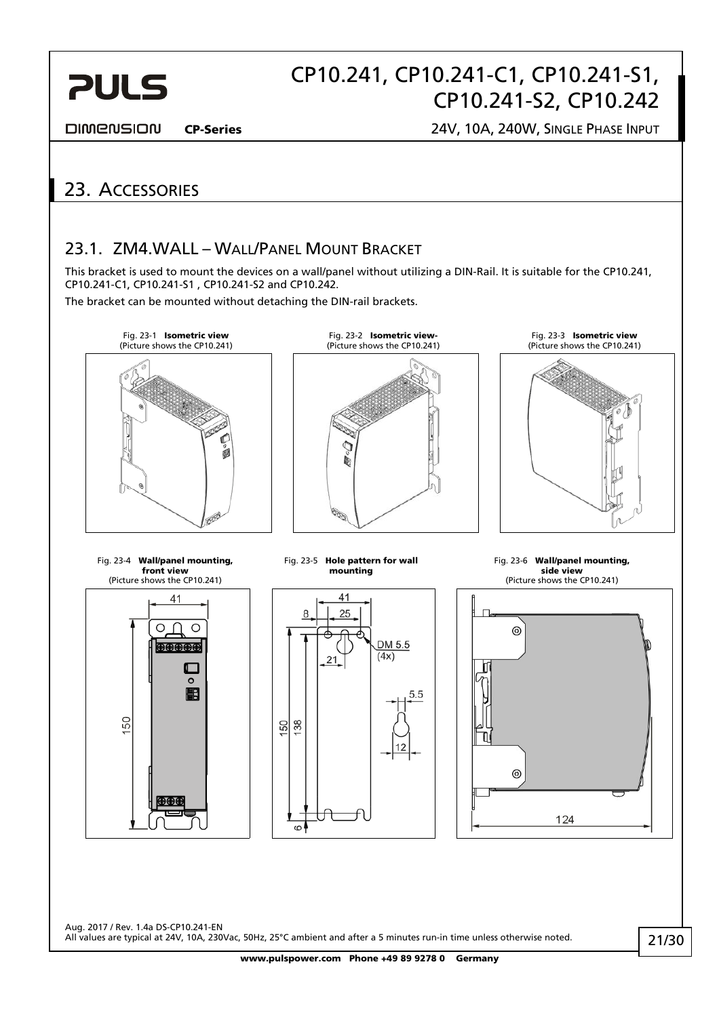# CP10.241, CP10.241-C1, CP10.241-S1, CP10.241-S2, CP10.242

<span id="page-20-0"></span>**DIMENSION** 

CP-Series 24V, 10A, 240W, SINGLE PHASE INPUT

### 23. ACCESSORIES

### 23.1. ZM4.WALL – WALL/PANEL MOUNT BRACKET

This bracket is used to mount the devices on a wall/panel without utilizing a DIN-Rail. It is suitable for the CP10.241, CP10.241-C1, CP10.241-S1 , CP10.241-S2 and CP10.242.

The bracket can be mounted without detaching the DIN-rail brackets.

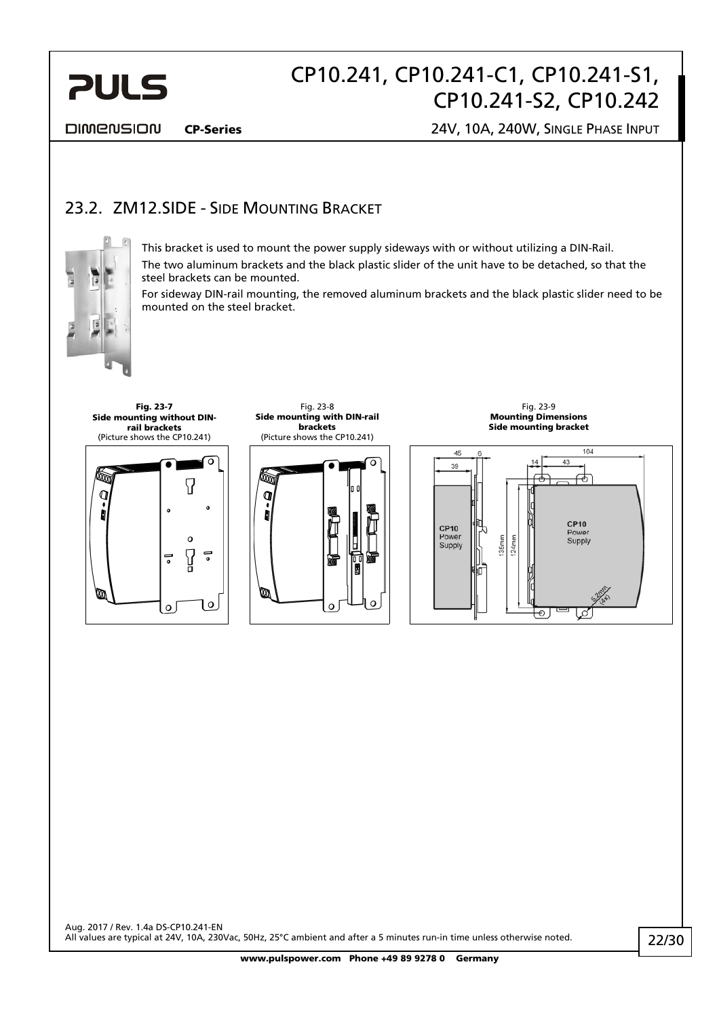<span id="page-21-0"></span>

DIMENSION

CP-Series 24V, 10A, 240W, SINGLE PHASE INPUT

### 23.2. ZM12. SIDE - SIDE MOUNTING BRACKET



Ø

This bracket is used to mount the power supply sideways with or without utilizing a DIN-Rail. The two aluminum brackets and the black plastic slider of the unit have to be detached, so that the steel brackets can be mounted.

For sideway DIN-rail mounting, the removed aluminum brackets and the black plastic slider need to be mounted on the steel bracket.



 $\Omega$ 

| O

Fig. 23-7

Fig. 23-8 Side mounting with DIN-rail brackets (Picture shows the CP10.241)



Fig. 23-9 Mounting Dimensions Side mounting bracket

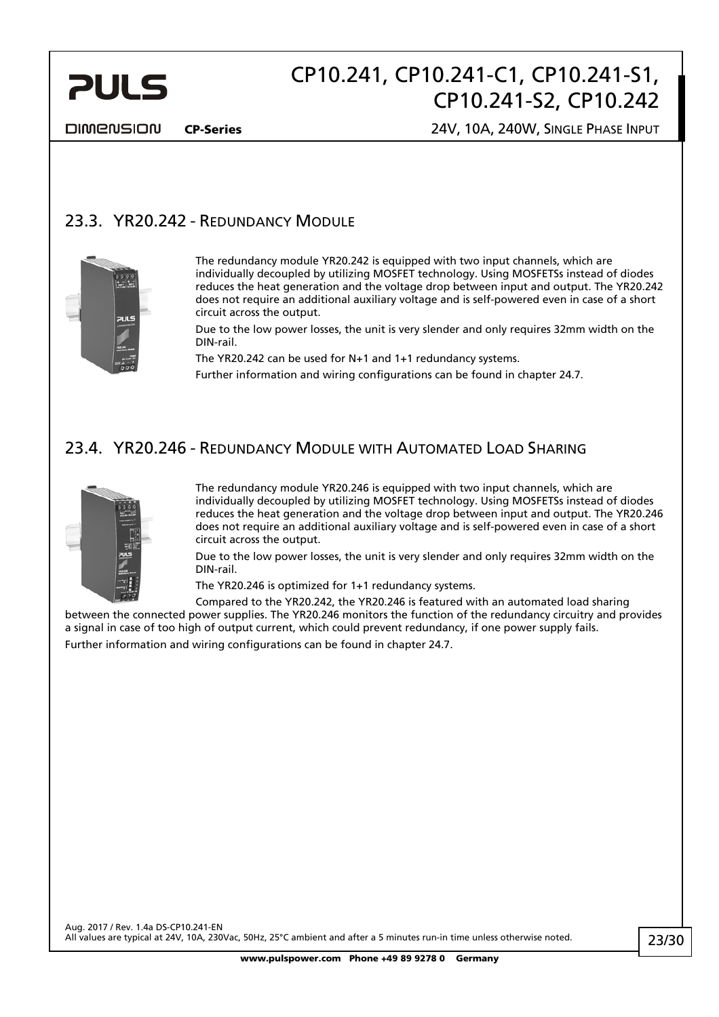<span id="page-22-0"></span>

**DIMENSION** 

CP-Series 24V, 10A, 240W, SINGLE PHASE INPUT

### 23.3. YR20.242 - REDUNDANCY MODULE



The redundancy module YR20.242 is equipped with two input channels, which are individually decoupled by utilizing MOSFET technology. Using MOSFETSs instead of diodes reduces the heat generation and the voltage drop between input and output. The YR20.242 does not require an additional auxiliary voltage and is self-powered even in case of a short circuit across the output.

Due to the low power losses, the unit is very slender and only requires 32mm width on the DIN-rail.

The YR20.242 can be used for N+1 and 1+1 redundancy systems.

Further information and wiring configurations can be found in chapter [24.7](#page-26-1).

### 23.4. YR20.246 - REDUNDANCY MODULE WITH AUTOMATED LOAD SHARING



The redundancy module YR20.246 is equipped with two input channels, which are individually decoupled by utilizing MOSFET technology. Using MOSFETSs instead of diodes reduces the heat generation and the voltage drop between input and output. The YR20.246 does not require an additional auxiliary voltage and is self-powered even in case of a short circuit across the output.

Due to the low power losses, the unit is very slender and only requires 32mm width on the DIN-rail.

The YR20.246 is optimized for 1+1 redundancy systems.

Compared to the YR20.242, the YR20.246 is featured with an automated load sharing between the connected power supplies. The YR20.246 monitors the function of the redundancy circuitry and provides a signal in case of too high of output current, which could prevent redundancy, if one power supply fails.

Further information and wiring configurations can be found in chapter [24.7](#page-26-1).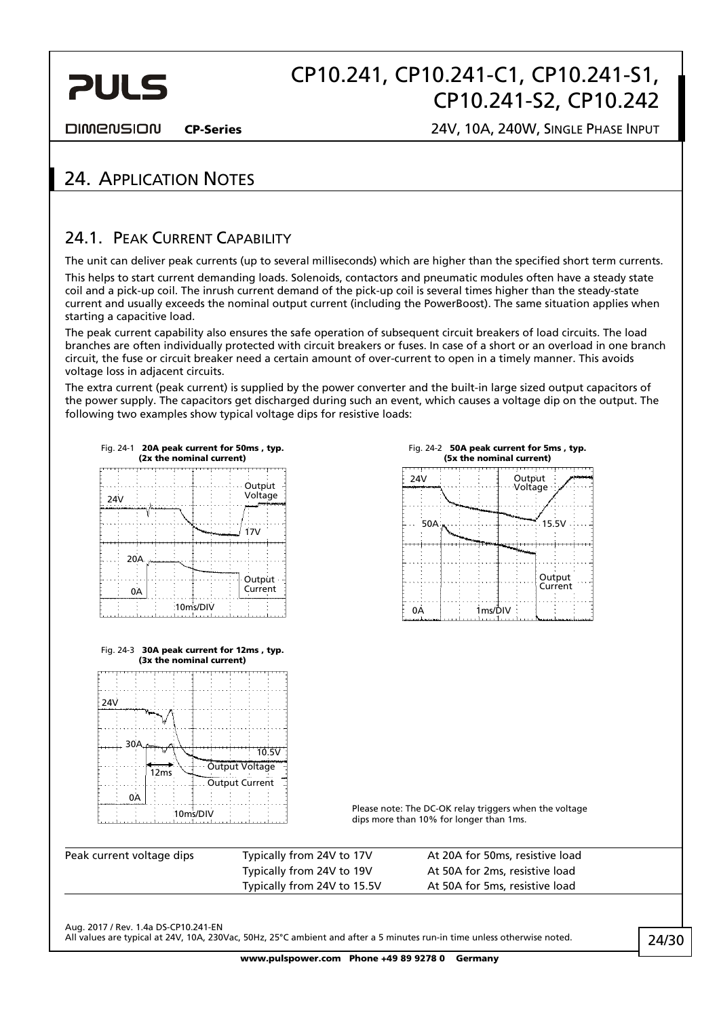# CP10.241, CP10.241-C1, CP10.241-S1, CP10.241-S2, CP10.242

<span id="page-23-0"></span>**DIMENSION** 

CP-Series 24V, 10A, 240W, SINGLE PHASE INPUT

### 24. APPLICATION NOTES

### <span id="page-23-1"></span>24.1. PEAK CURRENT CAPABILITY

The unit can deliver peak currents (up to several milliseconds) which are higher than the specified short term currents. This helps to start current demanding loads. Solenoids, contactors and pneumatic modules often have a steady state coil and a pick-up coil. The inrush current demand of the pick-up coil is several times higher than the steady-state current and usually exceeds the nominal output current (including the PowerBoost). The same situation applies when starting a capacitive load.

The peak current capability also ensures the safe operation of subsequent circuit breakers of load circuits. The load branches are often individually protected with circuit breakers or fuses. In case of a short or an overload in one branch circuit, the fuse or circuit breaker need a certain amount of over-current to open in a timely manner. This avoids voltage loss in adjacent circuits.

The extra current (peak current) is supplied by the power converter and the built-in large sized output capacitors of the power supply. The capacitors get discharged during such an event, which causes a voltage dip on the output. The following two examples show typical voltage dips for resistive loads:

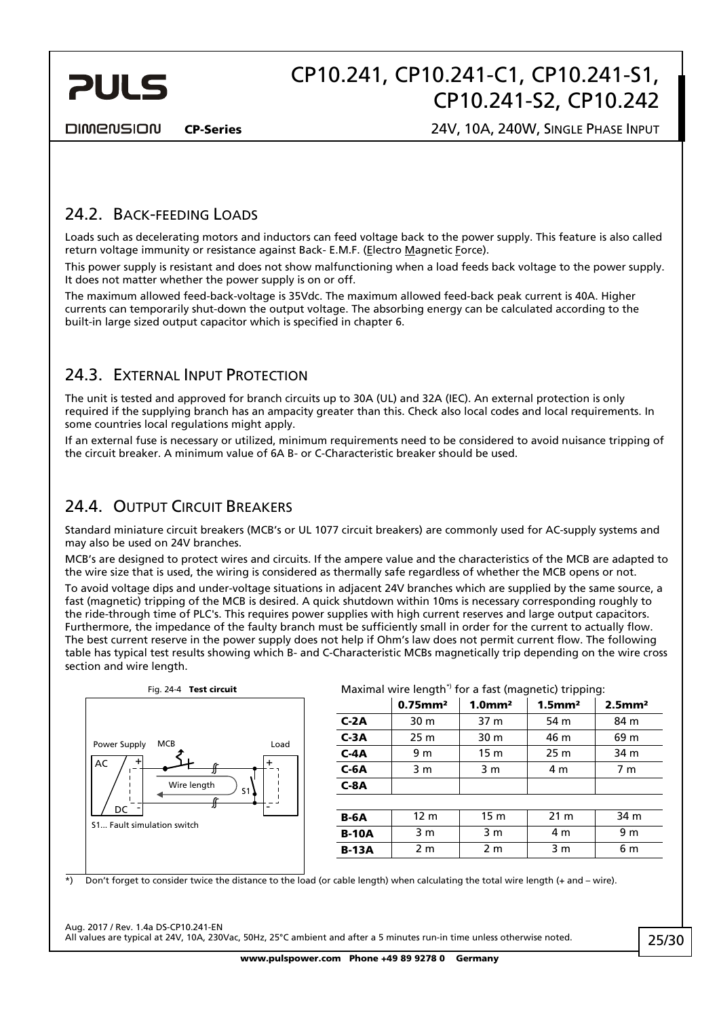<span id="page-24-0"></span>

**DIMENSION** 

CP-Series 24V, 10A, 240W, SINGLE PHASE INPUT

### 24.2. BACK-FEEDING LOADS

Loads such as decelerating motors and inductors can feed voltage back to the power supply. This feature is also called return voltage immunity or resistance against Back- E.M.F. (Electro Magnetic Force).

This power supply is resistant and does not show malfunctioning when a load feeds back voltage to the power supply. It does not matter whether the power supply is on or off.

The maximum allowed feed-back-voltage is 35Vdc. The maximum allowed feed-back peak current is 40A. Higher currents can temporarily shut-down the output voltage. The absorbing energy can be calculated according to the built-in large sized output capacitor which is specified in chapter [6](#page-6-1).

### <span id="page-24-1"></span>24.3. EXTERNAL INPUT PROTECTION

The unit is tested and approved for branch circuits up to 30A (UL) and 32A (IEC). An external protection is only required if the supplying branch has an ampacity greater than this. Check also local codes and local requirements. In some countries local regulations might apply.

If an external fuse is necessary or utilized, minimum requirements need to be considered to avoid nuisance tripping of the circuit breaker. A minimum value of 6A B- or C-Characteristic breaker should be used.

### 24.4. OUTPUT CIRCUIT BREAKERS

Standard miniature circuit breakers (MCB's or UL 1077 circuit breakers) are commonly used for AC-supply systems and may also be used on 24V branches.

MCB's are designed to protect wires and circuits. If the ampere value and the characteristics of the MCB are adapted to the wire size that is used, the wiring is considered as thermally safe regardless of whether the MCB opens or not.

To avoid voltage dips and under-voltage situations in adjacent 24V branches which are supplied by the same source, a fast (magnetic) tripping of the MCB is desired. A quick shutdown within 10ms is necessary corresponding roughly to the ride-through time of PLC's. This requires power supplies with high current reserves and large output capacitors. Furthermore, the impedance of the faulty branch must be sufficiently small in order for the current to actually flow. The best current reserve in the power supply does not help if Ohm's law does not permit current flow. The following table has typical test results showing which B- and C-Characteristic MCBs magnetically trip depending on the wire cross section and wire length.



#### Fig. 24-4 Test circuit  $Maximal wire length<sup>*</sup>$  for a fast (magnetic) tripping:

|              | $0.75$ mm <sup>2</sup> | $1.0$ mm <sup>2</sup> | $1.5$ mm <sup>2</sup> | $2.5$ mm <sup>2</sup> |  |
|--------------|------------------------|-----------------------|-----------------------|-----------------------|--|
| $C-2A$       | 30 m                   | 37 m                  | 54 m                  | 84 m                  |  |
| $C-3A$       | 25 <sub>m</sub>        | 30 m                  | 46 m                  | 69 m                  |  |
| $C-4A$       | 9 m                    | 15 <sub>m</sub>       | 25 <sub>m</sub>       | 34 m                  |  |
| $C-6A$       | 3 <sub>m</sub>         | 3 <sub>m</sub>        | 4 <sub>m</sub>        | 7 <sub>m</sub>        |  |
| $C-8A$       |                        |                       |                       |                       |  |
|              |                        |                       |                       |                       |  |
| $B-6A$       | 12 <sub>m</sub>        | 15 <sub>m</sub>       | 21 <sub>m</sub>       | 34 m                  |  |
| <b>B-10A</b> | 3 m                    | 3 <sub>m</sub>        | 4 m                   | 9 <sub>m</sub>        |  |
| <b>B-13A</b> | 2 <sub>m</sub>         | 2 <sub>m</sub>        | 3 <sub>m</sub>        | 6 m                   |  |
|              |                        |                       |                       |                       |  |

\*) Don't forget to consider twice the distance to the load (or cable length) when calculating the total wire length (+ and – wire).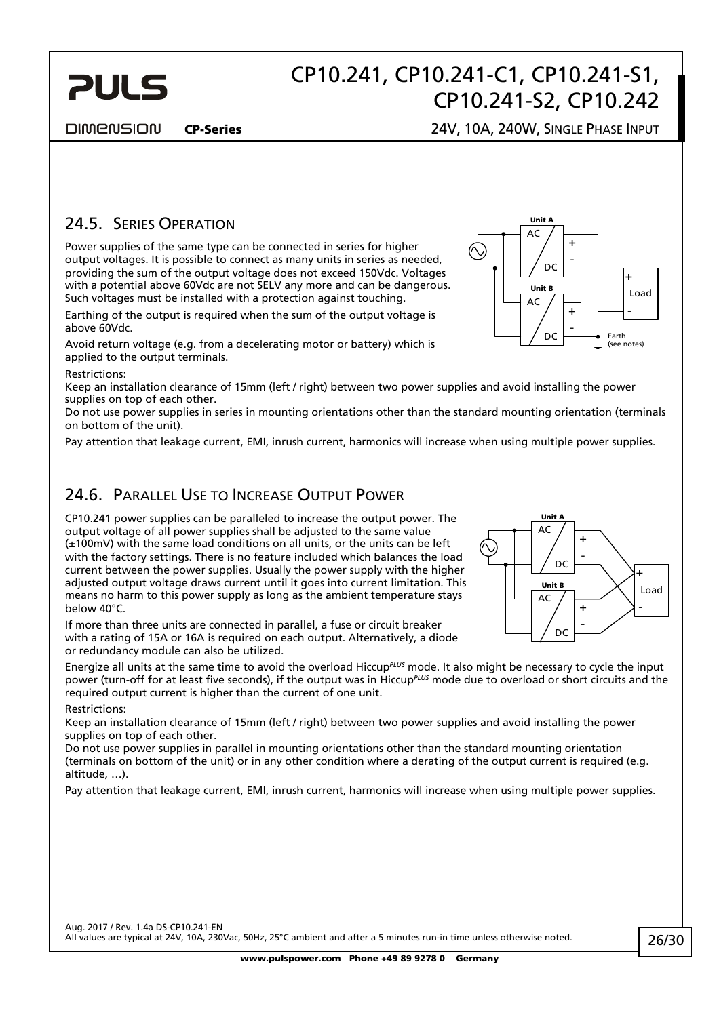#### **DIMENSION**

<span id="page-25-0"></span>**PULS** 

#### CP-Series 24V, 10A, 240W, SINGLE PHASE INPUT

### 24.5. SERIES OPERATION

Power supplies of the same type can be connected in series for higher output voltages. It is possible to connect as many units in series as needed, providing the sum of the output voltage does not exceed 150Vdc. Voltages with a potential above 60Vdc are not SELV any more and can be dangerous. Such voltages must be installed with a protection against touching.

Earthing of the output is required when the sum of the output voltage is above 60Vdc.

Avoid return voltage (e.g. from a decelerating motor or battery) which is applied to the output terminals.

Restrictions:

Keep an installation clearance of 15mm (left / right) between two power supplies and avoid installing the power supplies on top of each other.

Do not use power supplies in series in mounting orientations other than the standard mounting orientation (terminals on bottom of the unit).

Pay attention that leakage current, EMI, inrush current, harmonics will increase when using multiple power supplies.

### 24.6. PARALLEL USE TO INCREASE OUTPUT POWER

CP10.241 power supplies can be paralleled to increase the output power. The output voltage of all power supplies shall be adjusted to the same value (±100mV) with the same load conditions on all units, or the units can be left with the factory settings. There is no feature included which balances the load current between the power supplies. Usually the power supply with the higher adjusted output voltage draws current until it goes into current limitation. This means no harm to this power supply as long as the ambient temperature stays below 40°C.

If more than three units are connected in parallel, a fuse or circuit breaker with a rating of 15A or 16A is required on each output. Alternatively, a diode or redundancy module can also be utilized.

Energize all units at the same time to avoid the overload Hiccup*PLUS* mode. It also might be necessary to cycle the input power (turn-off for at least five seconds), if the output was in Hiccup<sup>*PLUS*</sup> mode due to overload or short circuits and the required output current is higher than the current of one unit.

#### Restrictions:

Keep an installation clearance of 15mm (left / right) between two power supplies and avoid installing the power supplies on top of each other.

Do not use power supplies in parallel in mounting orientations other than the standard mounting orientation (terminals on bottom of the unit) or in any other condition where a derating of the output current is required (e.g. altitude, …).

Pay attention that leakage current, EMI, inrush current, harmonics will increase when using multiple power supplies.



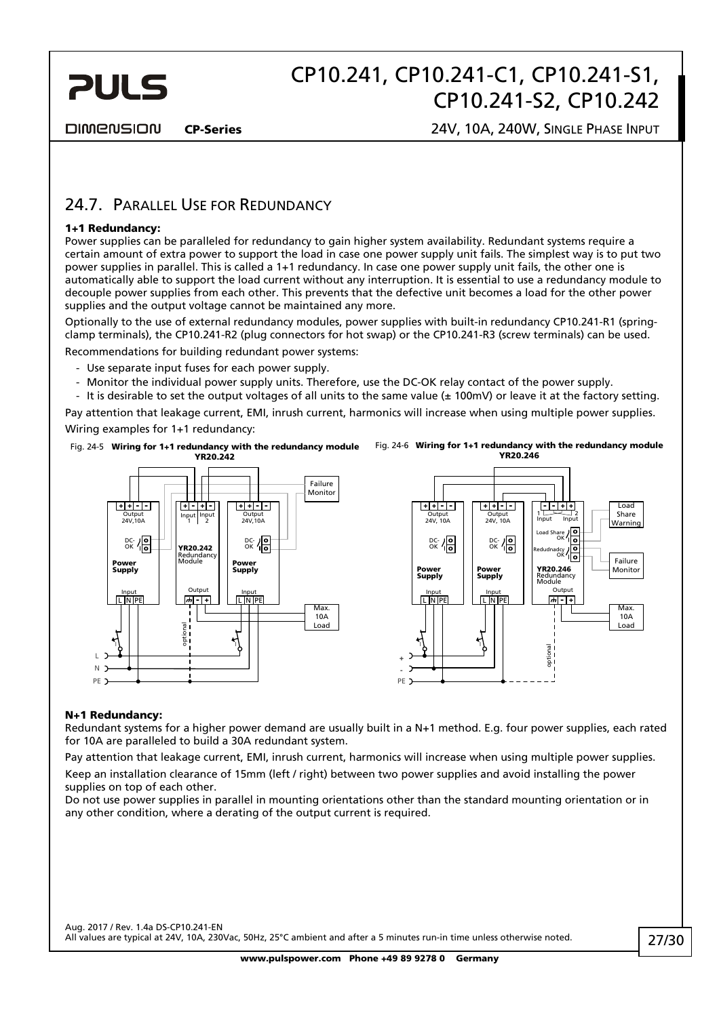<span id="page-26-0"></span>

**DIMENSION** 

CP-Series 24V, 10A, 240W, SINGLE PHASE INPUT

### 24.7. PARALLEL USE FOR REDUNDANCY

#### 1+1 Redundancy:

Power supplies can be paralleled for redundancy to gain higher system availability. Redundant systems require a certain amount of extra power to support the load in case one power supply unit fails. The simplest way is to put two power supplies in parallel. This is called a 1+1 redundancy. In case one power supply unit fails, the other one is automatically able to support the load current without any interruption. It is essential to use a redundancy module to decouple power supplies from each other. This prevents that the defective unit becomes a load for the other power supplies and the output voltage cannot be maintained any more.

Optionally to the use of external redundancy modules, power supplies with built-in redundancy CP10.241-R1 (springclamp terminals), the CP10.241-R2 (plug connectors for hot swap) or the CP10.241-R3 (screw terminals) can be used. Recommendations for building redundant power systems:

- Use separate input fuses for each power supply.
- Monitor the individual power supply units. Therefore, use the DC-OK relay contact of the power supply.
- It is desirable to set the output voltages of all units to the same value  $(\pm 100 \text{mV})$  or leave it at the factory setting. Pay attention that leakage current, EMI, inrush current, harmonics will increase when using multiple power supplies.

Wiring examples for 1+1 redundancy:

Fig. 24-5 Wiring for 1+1 redundancy with the redundancy module





#### N+1 Redundancy:

Redundant systems for a higher power demand are usually built in a N+1 method. E.g. four power supplies, each rated for 10A are paralleled to build a 30A redundant system.

Pay attention that leakage current, EMI, inrush current, harmonics will increase when using multiple power supplies. Keep an installation clearance of 15mm (left / right) between two power supplies and avoid installing the power supplies on top of each other.

<span id="page-26-1"></span>Do not use power supplies in parallel in mounting orientations other than the standard mounting orientation or in any other condition, where a derating of the output current is required.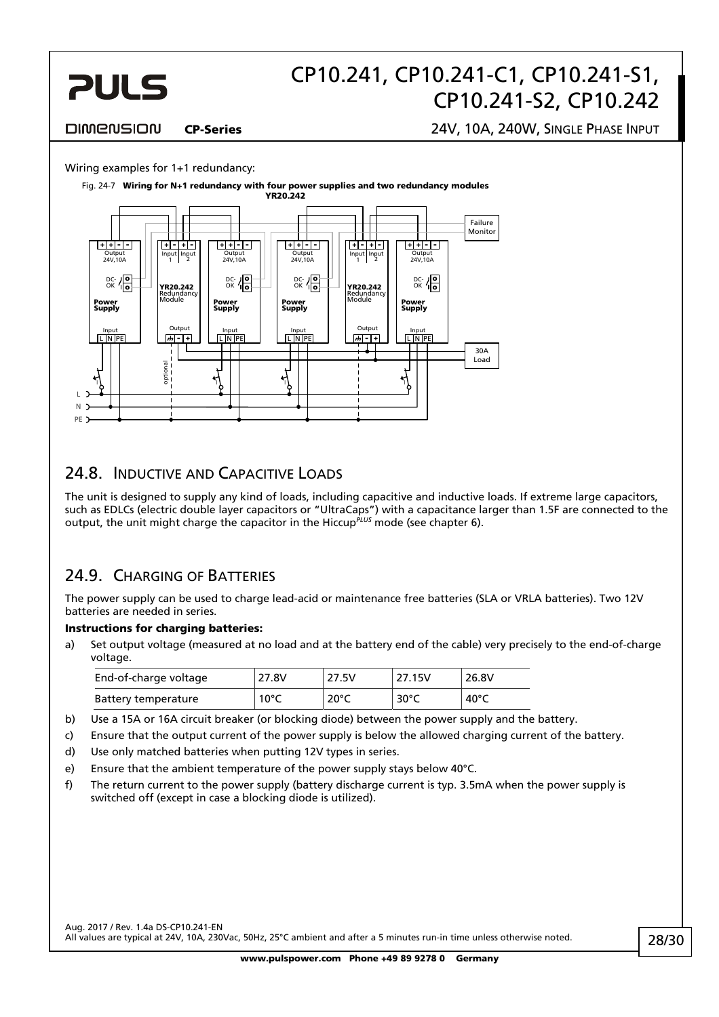<span id="page-27-0"></span>

#### **DIMENSION**

#### CP-Series 24V, 10A, 240W, SINGLE PHASE INPUT

#### Wiring examples for 1+1 redundancy:

Fig. 24-7 Wiring for N+1 redundancy with four power supplies and two redundancy modules



### 24.8. INDUCTIVE AND CAPACITIVE LOADS

The unit is designed to supply any kind of loads, including capacitive and inductive loads. If extreme large capacitors, such as EDLCs (electric double layer capacitors or "UltraCaps") with a capacitance larger than 1.5F are connected to the output, the unit might charge the capacitor in the Hiccup<sup>PLUS</sup> mode (see chapter [6\)](#page-6-1).

### 24.9. CHARGING OF BATTERIES

The power supply can be used to charge lead-acid or maintenance free batteries (SLA or VRLA batteries). Two 12V batteries are needed in series.

#### Instructions for charging batteries:

a) Set output voltage (measured at no load and at the battery end of the cable) very precisely to the end-of-charge voltage.

| End-of-charge voltage | 27.8V          | 27.5V | 27.15V         | 26.8V           |
|-----------------------|----------------|-------|----------------|-----------------|
| Battery temperature   | $10^{\circ}$ C | 20°C  | $30^{\circ}$ C | 40 $^{\circ}$ C |

- b) Use a 15A or 16A circuit breaker (or blocking diode) between the power supply and the battery.
- c) Ensure that the output current of the power supply is below the allowed charging current of the battery.
- d) Use only matched batteries when putting 12V types in series.
- e) Ensure that the ambient temperature of the power supply stays below 40°C.
- f) The return current to the power supply (battery discharge current is typ. 3.5mA when the power supply is switched off (except in case a blocking diode is utilized).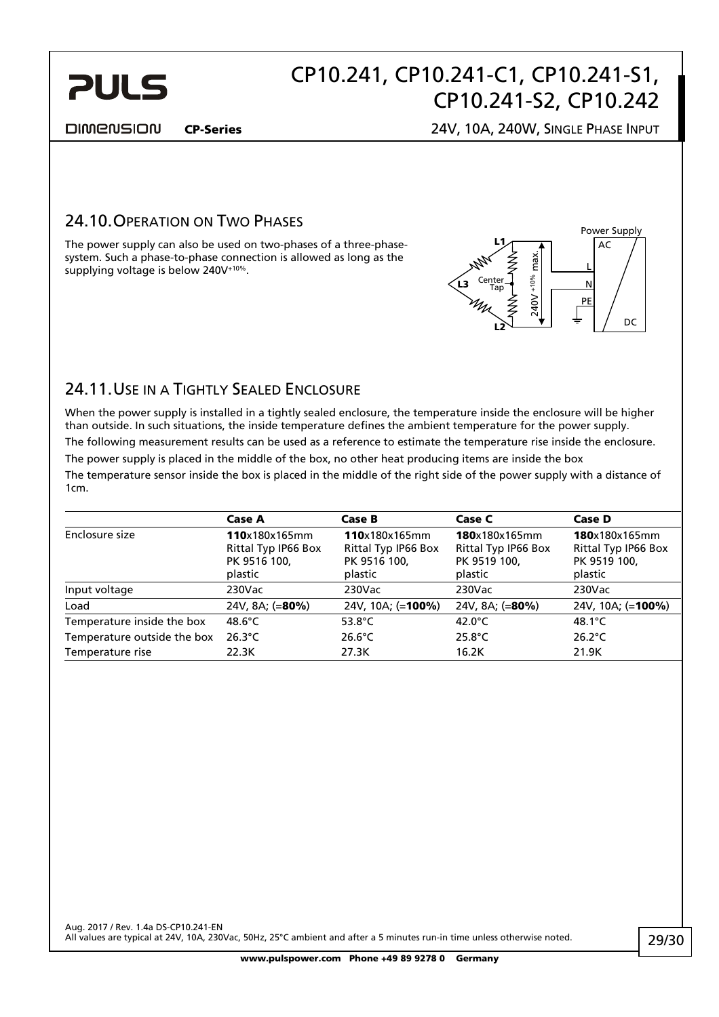<span id="page-28-0"></span>

#### DIMENSION

#### CP-Series 24V, 10A, 240W, SINGLE PHASE INPUT

### 24.10. OPERATION ON TWO PHASES

The power supply can also be used on two-phases of a three-phasesystem. Such a phase-to-phase connection is allowed as long as the supplying voltage is below 240V<sup>+10%</sup>.



### 24.11.USE IN A TIGHTLY SEALED ENCLOSURE

When the power supply is installed in a tightly sealed enclosure, the temperature inside the enclosure will be higher than outside. In such situations, the inside temperature defines the ambient temperature for the power supply. The following measurement results can be used as a reference to estimate the temperature rise inside the enclosure. The power supply is placed in the middle of the box, no other heat producing items are inside the box The temperature sensor inside the box is placed in the middle of the right side of the power supply with a distance of 1cm.

|                             | Case A                                                          | Case B                                                          | Case C           | Case D                                                          |  |
|-----------------------------|-----------------------------------------------------------------|-----------------------------------------------------------------|------------------|-----------------------------------------------------------------|--|
| Enclosure size              | 110x180x165mm<br>Rittal Typ IP66 Box<br>PK 9516 100,<br>plastic | 110x180x165mm<br>Rittal Typ IP66 Box<br>PK 9516 100,<br>plastic |                  | 180x180x165mm<br>Rittal Typ IP66 Box<br>PK 9519 100,<br>plastic |  |
| Input voltage               | 230Vac                                                          | $230$ Vac                                                       | 230Vac           | $230$ Vac                                                       |  |
| Load                        | 24V, 8A; (=80%)                                                 | 24V, 10A; (=100%)                                               | 24V, 8A; (=80%)  | 24V, 10A; (=100%)                                               |  |
| Temperature inside the box  | 48.6 $\degree$ C                                                | 53.8 $^{\circ}$ C                                               | 42.0 $\degree$ C | 48.1 $\degree$ C                                                |  |
| Temperature outside the box | $26.3^{\circ}$ C                                                | $26.6^{\circ}$ C                                                | $25.8^{\circ}$ C | $26.2^{\circ}$ C                                                |  |
| Temperature rise            | 22.3K                                                           | 27.3K                                                           | 16.2K            | 21.9K                                                           |  |